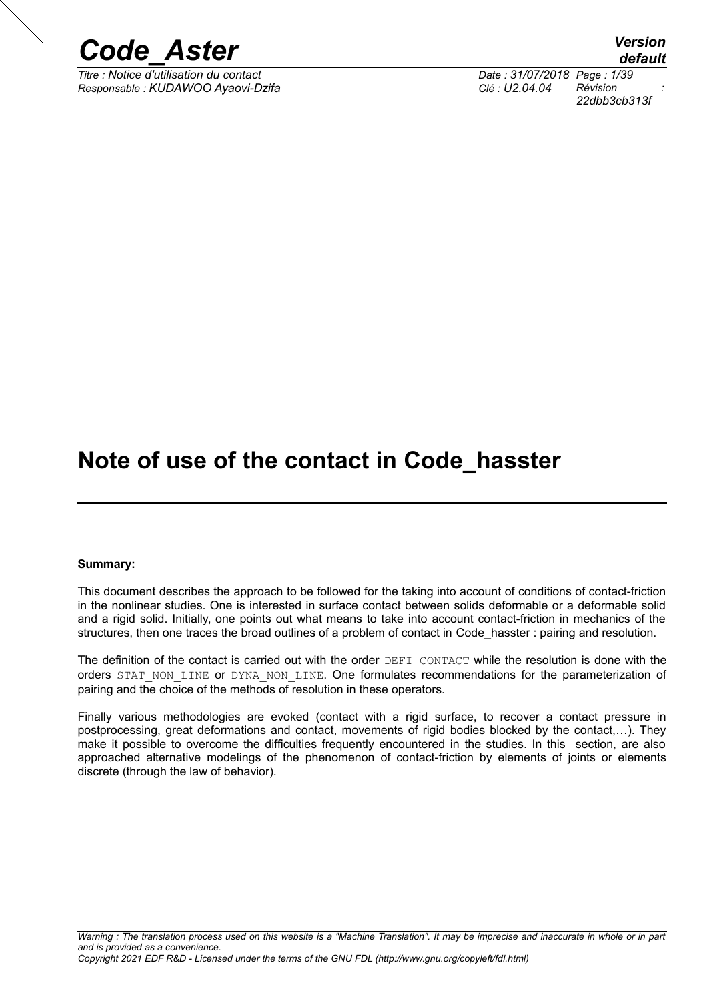

*Titre : Notice d'utilisation du contact Date : 31/07/2018 Page : 1/39 Responsable : KUDAWOO Ayaovi-Dzifa Clé : U2.04.04 Révision :*

*default 22dbb3cb313f*

## **Note of use of the contact in Code\_hasster**

#### **Summary:**

This document describes the approach to be followed for the taking into account of conditions of contact-friction in the nonlinear studies. One is interested in surface contact between solids deformable or a deformable solid and a rigid solid. Initially, one points out what means to take into account contact-friction in mechanics of the structures, then one traces the broad outlines of a problem of contact in Code hasster : pairing and resolution.

The definition of the contact is carried out with the order DEFI CONTACT while the resolution is done with the orders STAT\_NON\_LINE or DYNA\_NON\_LINE. One formulates recommendations for the parameterization of pairing and the choice of the methods of resolution in these operators.

Finally various methodologies are evoked (contact with a rigid surface, to recover a contact pressure in postprocessing, great deformations and contact, movements of rigid bodies blocked by the contact,…). They make it possible to overcome the difficulties frequently encountered in the studies. In this section, are also approached alternative modelings of the phenomenon of contact-friction by elements of joints or elements discrete (through the law of behavior).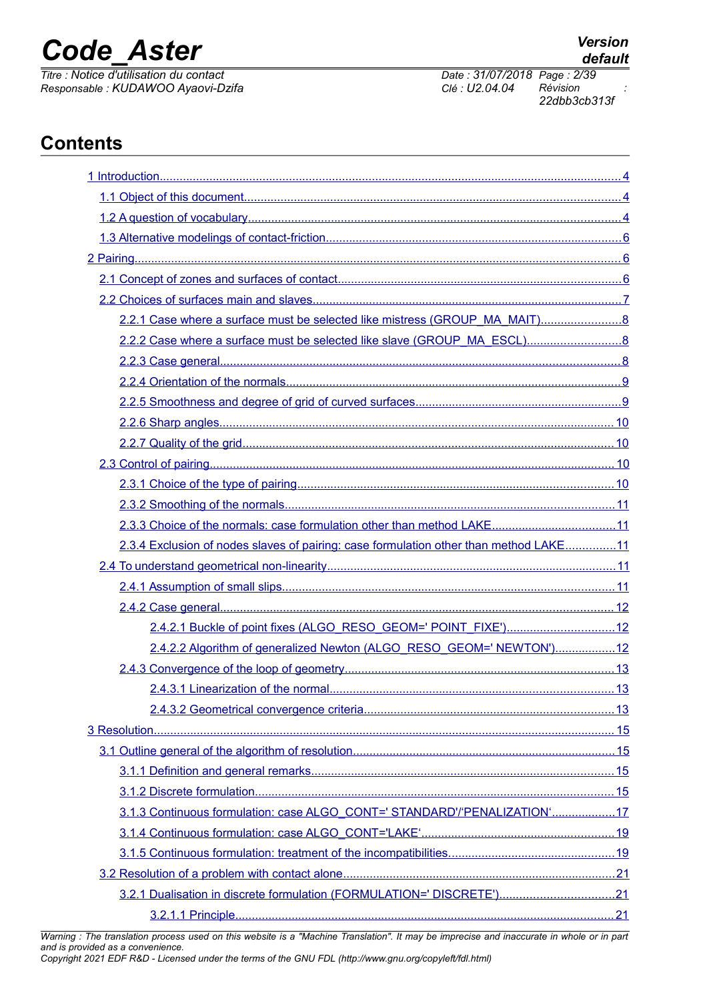*Titre : Notice d'utilisation du contact Date : 31/07/2018 Page : 2/39 Responsable : KUDAWOO Ayaovi-Dzifa Clé : U2.04.04 Révision :*

*22dbb3cb313f*

## **Contents**

| 2.3.3 Choice of the normals: case formulation other than method LAKE11                |  |
|---------------------------------------------------------------------------------------|--|
| 2.3.4 Exclusion of nodes slaves of pairing: case formulation other than method LAKE11 |  |
|                                                                                       |  |
|                                                                                       |  |
|                                                                                       |  |
| 2.4.2.1 Buckle of point fixes (ALGO_RESO_GEOM=' POINT_FIXE')12                        |  |
| 2.4.2.2 Algorithm of generalized Newton (ALGO_RESO_GEOM=' NEWTON')12                  |  |
|                                                                                       |  |
|                                                                                       |  |
|                                                                                       |  |
|                                                                                       |  |
|                                                                                       |  |
|                                                                                       |  |
|                                                                                       |  |
| 3.1.3 Continuous formulation: case ALGO CONT=' STANDARD'/'PENALIZATION'17             |  |
|                                                                                       |  |
|                                                                                       |  |
|                                                                                       |  |
| 3.2.1 Dualisation in discrete formulation (FORMULATION=' DISCRETE')21                 |  |
|                                                                                       |  |

*Warning : The translation process used on this website is a "Machine Translation". It may be imprecise and inaccurate in whole or in part and is provided as a convenience.*

*Copyright 2021 EDF R&D - Licensed under the terms of the GNU FDL (http://www.gnu.org/copyleft/fdl.html)*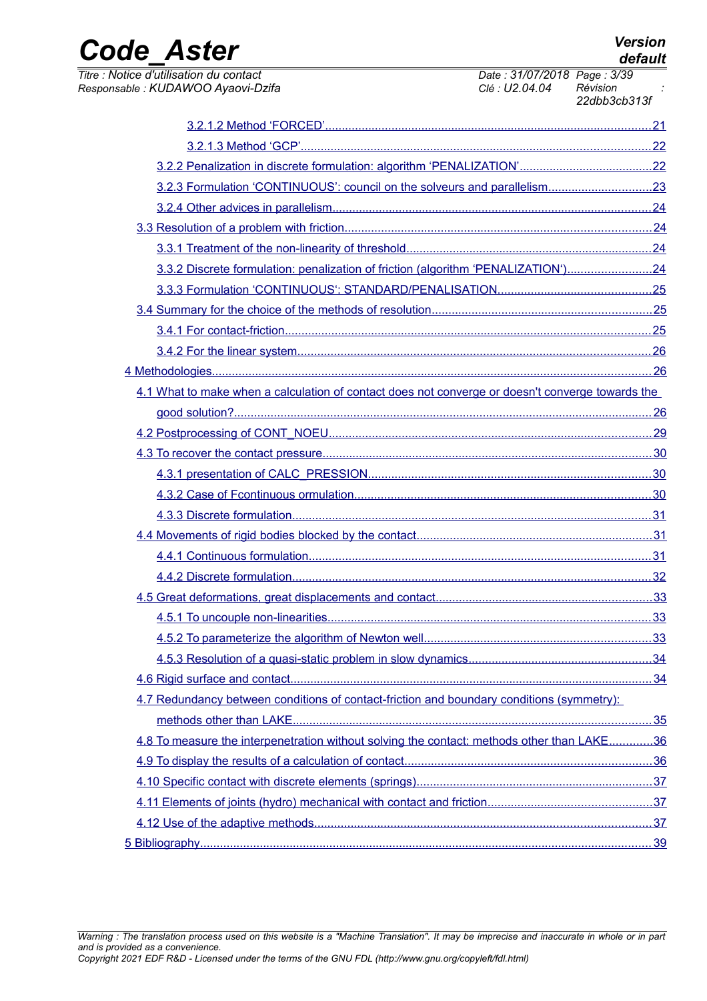| <b>Code Aster</b>                                                                                |                                              | <b>Version</b><br>default |
|--------------------------------------------------------------------------------------------------|----------------------------------------------|---------------------------|
| Titre : Notice d'utilisation du contact<br>Responsable : KUDAWOO Ayaovi-Dzifa                    | Date: 31/07/2018 Page: 3/39<br>Clé: U2.04.04 | Révision<br>22dbb3cb313f  |
|                                                                                                  |                                              |                           |
|                                                                                                  |                                              |                           |
|                                                                                                  |                                              |                           |
|                                                                                                  |                                              |                           |
|                                                                                                  |                                              |                           |
|                                                                                                  |                                              |                           |
|                                                                                                  |                                              |                           |
| 3.3.2 Discrete formulation: penalization of friction (algorithm 'PENALIZATION')24                |                                              |                           |
|                                                                                                  |                                              |                           |
|                                                                                                  |                                              |                           |
|                                                                                                  |                                              |                           |
|                                                                                                  |                                              |                           |
|                                                                                                  |                                              |                           |
| 4.1 What to make when a calculation of contact does not converge or doesn't converge towards the |                                              |                           |
|                                                                                                  |                                              |                           |
|                                                                                                  |                                              |                           |
|                                                                                                  |                                              |                           |
|                                                                                                  |                                              |                           |
|                                                                                                  |                                              |                           |
|                                                                                                  |                                              |                           |
|                                                                                                  |                                              |                           |
|                                                                                                  |                                              |                           |
|                                                                                                  |                                              |                           |
|                                                                                                  |                                              |                           |
|                                                                                                  |                                              |                           |
|                                                                                                  |                                              |                           |
|                                                                                                  |                                              |                           |
|                                                                                                  |                                              |                           |
| 4.7 Redundancy between conditions of contact-friction and boundary conditions (symmetry):        |                                              |                           |
| 4.8 To measure the interpenetration without solving the contact: methods other than LAKE36       |                                              |                           |
|                                                                                                  |                                              |                           |
|                                                                                                  |                                              |                           |
|                                                                                                  |                                              |                           |
|                                                                                                  |                                              |                           |
|                                                                                                  |                                              |                           |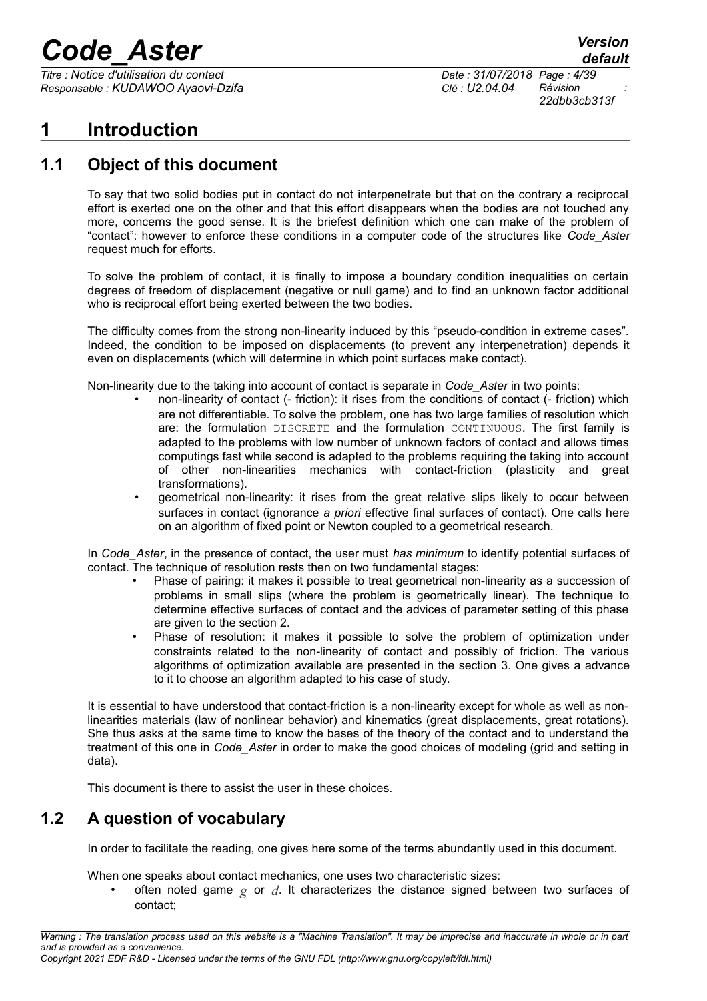*Titre : Notice d'utilisation du contact Date : 31/07/2018 Page : 4/39 Responsable : KUDAWOO Ayaovi-Dzifa Clé : U2.04.04 Révision :*

*22dbb3cb313f*

## <span id="page-3-2"></span>**1 Introduction**

### **1.1 Object of this document**

<span id="page-3-1"></span>To say that two solid bodies put in contact do not interpenetrate but that on the contrary a reciprocal effort is exerted one on the other and that this effort disappears when the bodies are not touched any more, concerns the good sense. It is the briefest definition which one can make of the problem of "contact": however to enforce these conditions in a computer code of the structures like *Code\_Aster* request much for efforts.

To solve the problem of contact, it is finally to impose a boundary condition inequalities on certain degrees of freedom of displacement (negative or null game) and to find an unknown factor additional who is reciprocal effort being exerted between the two bodies.

The difficulty comes from the strong non-linearity induced by this "pseudo-condition in extreme cases". Indeed, the condition to be imposed on displacements (to prevent any interpenetration) depends it even on displacements (which will determine in which point surfaces make contact).

Non-linearity due to the taking into account of contact is separate in *Code\_Aster* in two points:

- non-linearity of contact (- friction): it rises from the conditions of contact (- friction) which are not differentiable. To solve the problem, one has two large families of resolution which are: the formulation DISCRETE and the formulation CONTINUOUS. The first family is adapted to the problems with low number of unknown factors of contact and allows times computings fast while second is adapted to the problems requiring the taking into account of other non-linearities mechanics with contact-friction (plasticity and great transformations).
- geometrical non-linearity: it rises from the great relative slips likely to occur between surfaces in contact (ignorance *a priori* effective final surfaces of contact). One calls here on an algorithm of fixed point or Newton coupled to a geometrical research.

In *Code\_Aster*, in the presence of contact, the user must *has minimum* to identify potential surfaces of contact. The technique of resolution rests then on two fundamental stages:

- Phase of pairing: it makes it possible to treat geometrical non-linearity as a succession of problems in small slips (where the problem is geometrically linear). The technique to determine effective surfaces of contact and the advices of parameter setting of this phase are given to the section [2.](#page-5-1)
- Phase of resolution: it makes it possible to solve the problem of optimization under constraints related to the non-linearity of contact and possibly of friction. The various algorithms of optimization available are presented in the section [3.](#page-14-3) One gives a advance to it to choose an algorithm adapted to his case of study.

It is essential to have understood that contact-friction is a non-linearity except for whole as well as nonlinearities materials (law of nonlinear behavior) and kinematics (great displacements, great rotations). She thus asks at the same time to know the bases of the theory of the contact and to understand the treatment of this one in *Code\_Aster* in order to make the good choices of modeling (grid and setting in data).

<span id="page-3-0"></span>This document is there to assist the user in these choices.

### **1.2 A question of vocabulary**

In order to facilitate the reading, one gives here some of the terms abundantly used in this document.

When one speaks about contact mechanics, one uses two characteristic sizes:

• often noted game *g* or *d*. It characterizes the distance signed between two surfaces of contact;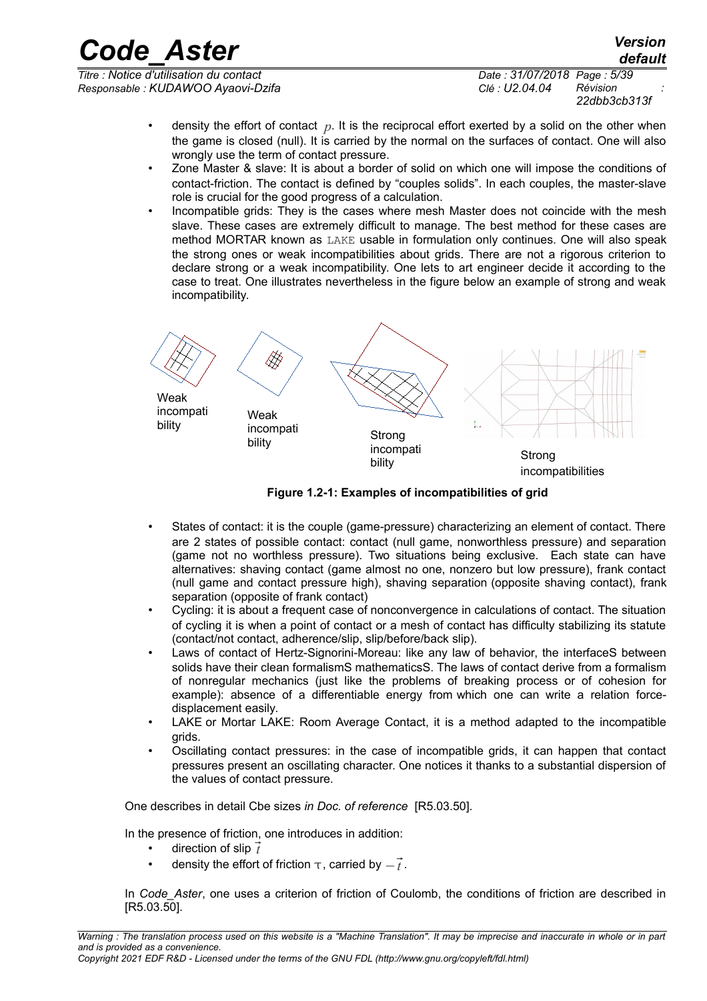*Titre : Notice d'utilisation du contact Date : 31/07/2018 Page : 5/39 Responsable : KUDAWOO Ayaovi-Dzifa Clé : U2.04.04 Révision :*

*22dbb3cb313f*

- density the effort of contact *p*. It is the reciprocal effort exerted by a solid on the other when the game is closed (null). It is carried by the normal on the surfaces of contact. One will also wrongly use the term of contact pressure.
- Zone Master & slave: It is about a border of solid on which one will impose the conditions of contact-friction. The contact is defined by "couples solids". In each couples, the master-slave role is crucial for the good progress of a calculation.
- Incompatible grids: They is the cases where mesh Master does not coincide with the mesh slave. These cases are extremely difficult to manage. The best method for these cases are method MORTAR known as LAKE usable in formulation only continues. One will also speak the strong ones or weak incompatibilities about grids. There are not a rigorous criterion to declare strong or a weak incompatibility. One lets to art engineer decide it according to the case to treat. One illustrates nevertheless in the figure below an example of strong and weak incompatibility.

∰ Weak incompati Weak bility incompati bility Strong incompati nicompan<br>bility Strong incompatibilities

**Figure 1.2-1: Examples of incompatibilities of grid**

- States of contact: it is the couple (game-pressure) characterizing an element of contact. There are 2 states of possible contact: contact (null game, nonworthless pressure) and separation (game not no worthless pressure). Two situations being exclusive. Each state can have alternatives: shaving contact (game almost no one, nonzero but low pressure), frank contact (null game and contact pressure high), shaving separation (opposite shaving contact), frank separation (opposite of frank contact)
- Cycling: it is about a frequent case of nonconvergence in calculations of contact. The situation of cycling it is when a point of contact or a mesh of contact has difficulty stabilizing its statute (contact/not contact, adherence/slip, slip/before/back slip).
- Laws of contact of Hertz-Signorini-Moreau: like any law of behavior, the interfaceS between solids have their clean formalismS mathematicsS. The laws of contact derive from a formalism of nonregular mechanics (just like the problems of breaking process or of cohesion for example): absence of a differentiable energy from which one can write a relation forcedisplacement easily.
- LAKE or Mortar LAKE: Room Average Contact, it is a method adapted to the incompatible grids.
- Oscillating contact pressures: in the case of incompatible grids, it can happen that contact pressures present an oscillating character. One notices it thanks to a substantial dispersion of the values of contact pressure.

One describes in detail Cbe sizes *in Doc. of reference* [R5.03.50].

In the presence of friction, one introduces in addition:

- direction of slip *t*
- density the effort of friction  $\tau$ , carried by  $-\vec{t}$ .

In *Code Aster*, one uses a criterion of friction of Coulomb, the conditions of friction are described in [R5.03.50].

*default*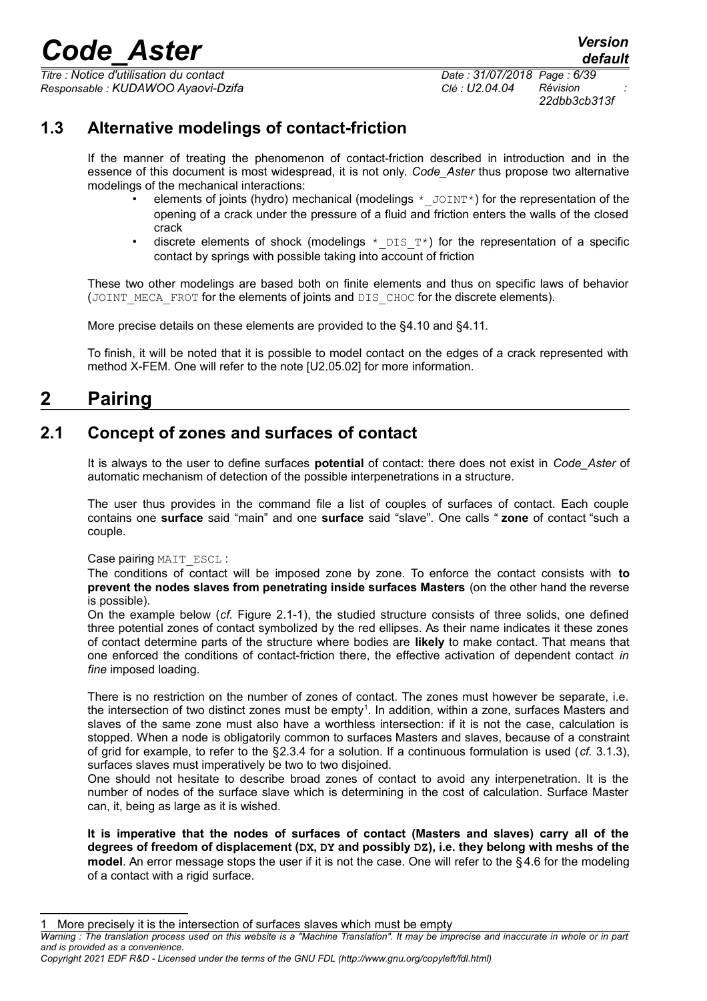*Titre : Notice d'utilisation du contact Date : 31/07/2018 Page : 6/39 Responsable : KUDAWOO Ayaovi-Dzifa Clé : U2.04.04 Révision :*

*22dbb3cb313f*

### **1.3 Alternative modelings of contact-friction**

<span id="page-5-2"></span>If the manner of treating the phenomenon of contact-friction described in introduction and in the essence of this document is most widespread, it is not only. *Code\_Aster* thus propose two alternative modelings of the mechanical interactions:

- elements of joints (hydro) mechanical (modelings  $*$  JOINT\*) for the representation of the opening of a crack under the pressure of a fluid and friction enters the walls of the closed crack
- discrete elements of shock (modelings  $*$  DIS  $T^*$ ) for the representation of a specific contact by springs with possible taking into account of friction

These two other modelings are based both on finite elements and thus on specific laws of behavior (JOINT\_MECA\_FROT for the elements of joints and DIS\_CHOC for the discrete elements).

More precise details on these elements are provided to the [§4.10](#page-36-2) and [§4.11.](#page-36-1)

<span id="page-5-1"></span>To finish, it will be noted that it is possible to model contact on the edges of a crack represented with method X-FEM. One will refer to the note [U2.05.02] for more information.

## **2 Pairing**

### **2.1 Concept of zones and surfaces of contact**

<span id="page-5-0"></span>It is always to the user to define surfaces **potential** of contact: there does not exist in *Code\_Aster* of automatic mechanism of detection of the possible interpenetrations in a structure.

The user thus provides in the command file a list of couples of surfaces of contact. Each couple contains one **surface** said "main" and one **surface** said "slave". One calls " **zone** of contact "such a couple.

Case pairing MAIT\_ESCL :

The conditions of contact will be imposed zone by zone. To enforce the contact consists with **to prevent the nodes slaves from penetrating inside surfaces Masters** (on the other hand the reverse is possible).

On the example below (*cf.* [Figure 2.1-1\)](#page-6-1), the studied structure consists of three solids, one defined three potential zones of contact symbolized by the red ellipses. As their name indicates it these zones of contact determine parts of the structure where bodies are **likely** to make contact. That means that one enforced the conditions of contact-friction there, the effective activation of dependent contact *in fine* imposed loading.

There is no restriction on the number of zones of contact. The zones must however be separate, i.e. the intersection of two distinct zones must be empty<sup>[1](#page-5-3)</sup>. In addition, within a zone, surfaces Masters and slaves of the same zone must also have a worthless intersection: if it is not the case, calculation is stopped. When a node is obligatorily common to surfaces Masters and slaves, because of a constraint of grid for example, to refer to the §[2.3.4](#page-10-2) for a solution. If a continuous formulation is used (*cf.* [3.1.3\)](#page-16-0), surfaces slaves must imperatively be two to two disjoined.

One should not hesitate to describe broad zones of contact to avoid any interpenetration. It is the number of nodes of the surface slave which is determining in the cost of calculation. Surface Master can, it, being as large as it is wished.

**It is imperative that the nodes of surfaces of contact (Masters and slaves) carry all of the degrees of freedom of displacement (DX, DY and possibly DZ), i.e. they belong with meshs of the model**. An error message stops the user if it is not the case. One will refer to the §[4.6](#page-33-0) for the modeling of a contact with a rigid surface.

<span id="page-5-3"></span><sup>1</sup> More precisely it is the intersection of surfaces slaves which must be empty

*Warning : The translation process used on this website is a "Machine Translation". It may be imprecise and inaccurate in whole or in part and is provided as a convenience.*

*Copyright 2021 EDF R&D - Licensed under the terms of the GNU FDL (http://www.gnu.org/copyleft/fdl.html)*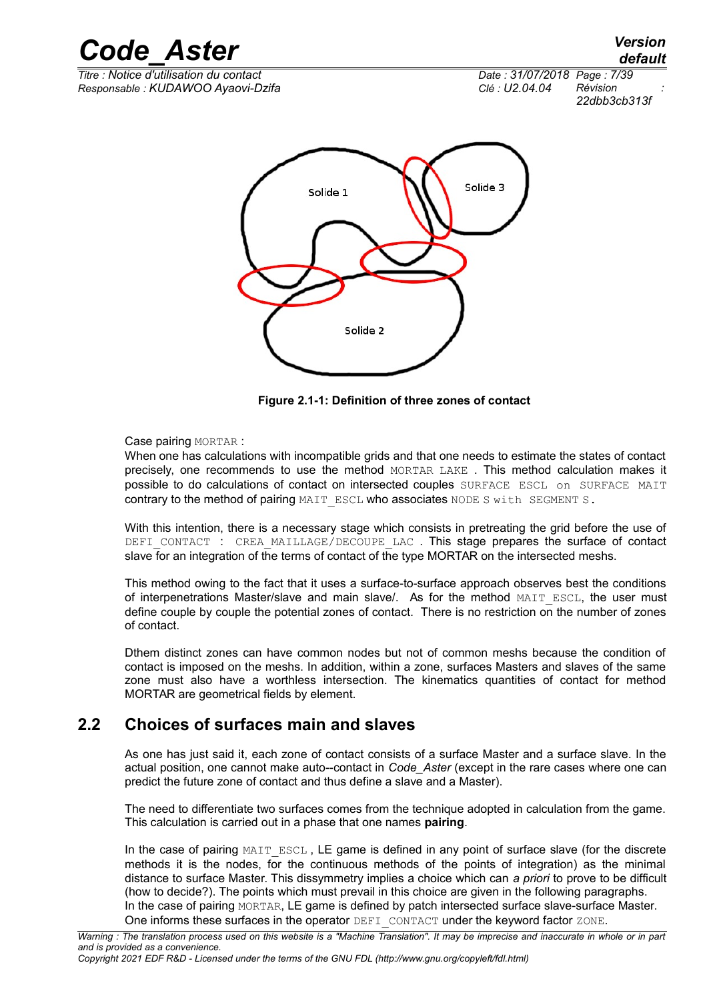*Titre : Notice d'utilisation du contact Date : 31/07/2018 Page : 7/39 Responsable : KUDAWOO Ayaovi-Dzifa Clé : U2.04.04 Révision :*

*22dbb3cb313f*



<span id="page-6-1"></span>**Figure 2.1-1: Definition of three zones of contact**

Case pairing MORTAR :

When one has calculations with incompatible grids and that one needs to estimate the states of contact precisely, one recommends to use the method MORTAR LAKE . This method calculation makes it possible to do calculations of contact on intersected couples SURFACE ESCL on SURFACE MAIT contrary to the method of pairing MAIT\_ESCL who associates NODE S with SEGMENT S.

With this intention, there is a necessary stage which consists in pretreating the grid before the use of DEFI CONTACT : CREA MAILLAGE/DECOUPE LAC . This stage prepares the surface of contact slave for an integration of the terms of contact of the type MORTAR on the intersected meshs.

This method owing to the fact that it uses a surface-to-surface approach observes best the conditions of interpenetrations Master/slave and main slave/. As for the method MAIT ESCL, the user must define couple by couple the potential zones of contact. There is no restriction on the number of zones of contact.

Dthem distinct zones can have common nodes but not of common meshs because the condition of contact is imposed on the meshs. In addition, within a zone, surfaces Masters and slaves of the same zone must also have a worthless intersection. The kinematics quantities of contact for method MORTAR are geometrical fields by element.

### **2.2 Choices of surfaces main and slaves**

<span id="page-6-0"></span>As one has just said it, each zone of contact consists of a surface Master and a surface slave. In the actual position, one cannot make auto--contact in *Code\_Aster* (except in the rare cases where one can predict the future zone of contact and thus define a slave and a Master).

The need to differentiate two surfaces comes from the technique adopted in calculation from the game. This calculation is carried out in a phase that one names **pairing**.

In the case of pairing MAIT\_ESCL, LE game is defined in any point of surface slave (for the discrete methods it is the nodes, for the continuous methods of the points of integration) as the minimal distance to surface Master. This dissymmetry implies a choice which can *a priori* to prove to be difficult (how to decide?). The points which must prevail in this choice are given in the following paragraphs. In the case of pairing MORTAR, LE game is defined by patch intersected surface slave-surface Master. One informs these surfaces in the operator DEFI\_CONTACT under the keyword factor ZONE.

*default*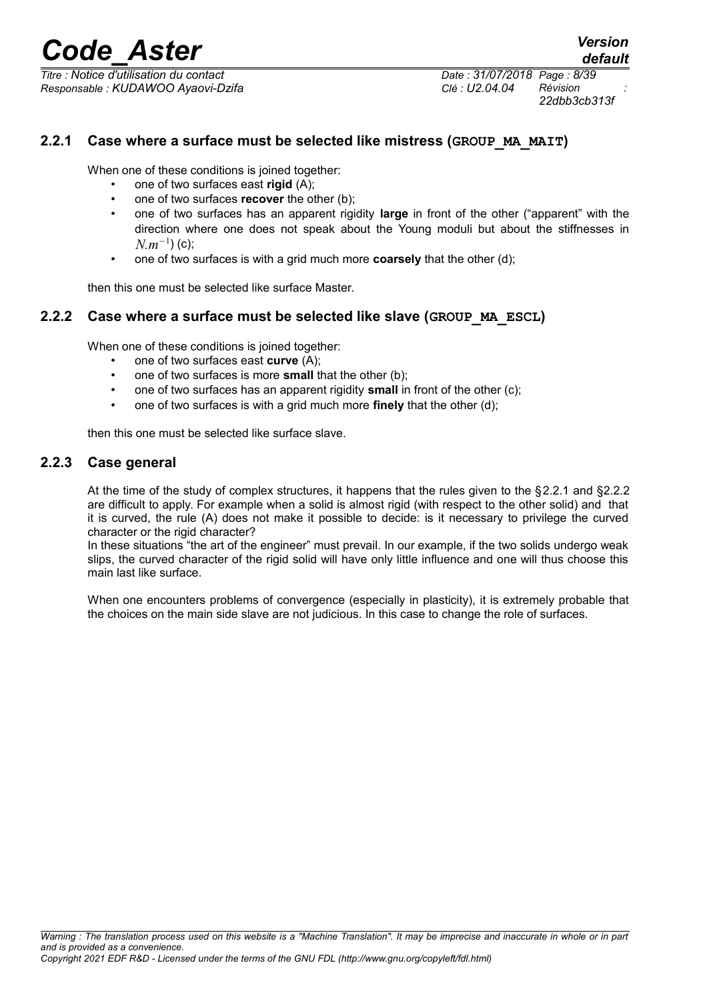*Titre : Notice d'utilisation du contact Date : 31/07/2018 Page : 8/39 Responsable : KUDAWOO Ayaovi-Dzifa Clé : U2.04.04 Révision :*

*22dbb3cb313f*

#### **2.2.1 Case where a surface must be selected like mistress (GROUP\_MA\_MAIT)**

<span id="page-7-2"></span>When one of these conditions is joined together:

- one of two surfaces east **rigid** (A);
- one of two surfaces **recover** the other (b);
- one of two surfaces has an apparent rigidity **large** in front of the other ("apparent" with the direction where one does not speak about the Young moduli but about the stiffnesses in *N.m*<sup>−</sup><sup>1</sup> ) (c);
- one of two surfaces is with a grid much more **coarsely** that the other (d);

<span id="page-7-1"></span>then this one must be selected like surface Master.

#### **2.2.2 Case where a surface must be selected like slave (GROUP\_MA\_ESCL)**

When one of these conditions is joined together:

- one of two surfaces east **curve** (A);
- one of two surfaces is more **small** that the other (b);
- one of two surfaces has an apparent rigidity **small** in front of the other (c);
- one of two surfaces is with a grid much more **finely** that the other (d);

<span id="page-7-0"></span>then this one must be selected like surface slave.

#### **2.2.3 Case general**

At the time of the study of complex structures, it happens that the rules given to the §[2.2.1](#page-7-2) and [§2.2.2](#page-7-1) are difficult to apply. For example when a solid is almost rigid (with respect to the other solid) and that it is curved, the rule (A) does not make it possible to decide: is it necessary to privilege the curved character or the rigid character?

In these situations "the art of the engineer" must prevail. In our example, if the two solids undergo weak slips, the curved character of the rigid solid will have only little influence and one will thus choose this main last like surface.

When one encounters problems of convergence (especially in plasticity), it is extremely probable that the choices on the main side slave are not judicious. In this case to change the role of surfaces.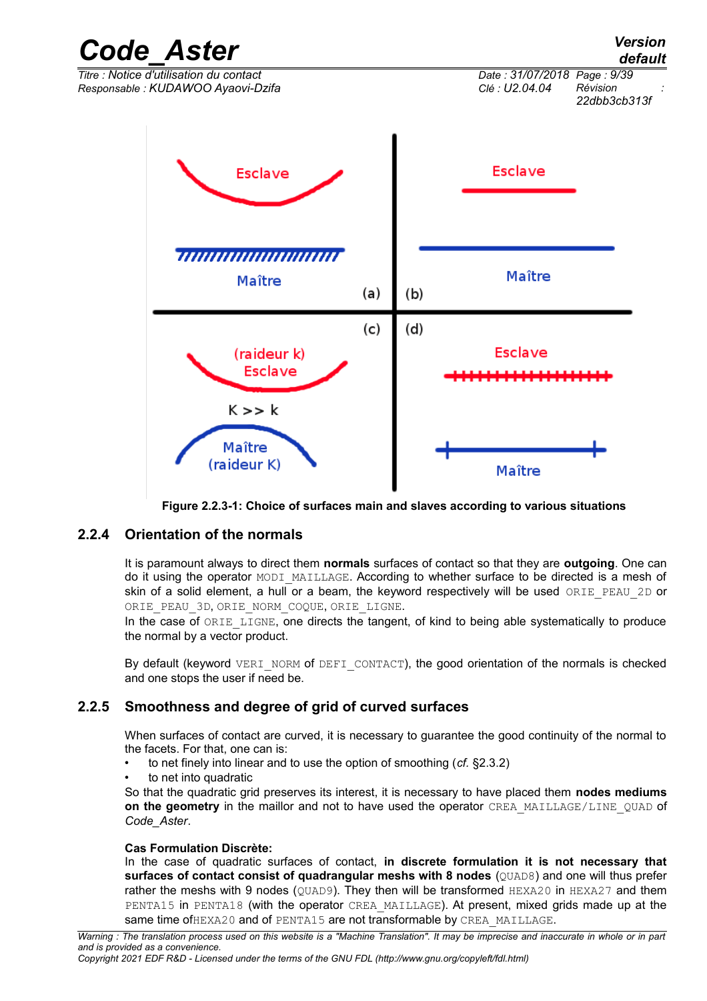

**Figure 2.2.3-1: Choice of surfaces main and slaves according to various situations**

#### **2.2.4 Orientation of the normals**

<span id="page-8-1"></span>It is paramount always to direct them **normals** surfaces of contact so that they are **outgoing**. One can do it using the operator MODI\_MAILLAGE. According to whether surface to be directed is a mesh of skin of a solid element, a hull or a beam, the keyword respectively will be used ORIE\_PEAU\_2D or ORIE PEAU 3D, ORIE NORM COOUE, ORIE LIGNE.

In the case of ORIE LIGNE, one directs the tangent, of kind to being able systematically to produce the normal by a vector product.

By default (keyword VERI\_NORM of DEFI\_CONTACT), the good orientation of the normals is checked and one stops the user if need be.

#### **2.2.5 Smoothness and degree of grid of curved surfaces**

<span id="page-8-0"></span>When surfaces of contact are curved, it is necessary to guarantee the good continuity of the normal to the facets. For that, one can is:

- to net finely into linear and to use the option of smoothing (*cf.* [§2.3.2\)](#page-10-4)
- to net into quadratic

So that the quadratic grid preserves its interest, it is necessary to have placed them **nodes mediums on the geometry** in the maillor and not to have used the operator CREA\_MAILLAGE/LINE\_QUAD of *Code\_Aster*.

#### **Cas Formulation Discrète:**

In the case of quadratic surfaces of contact, **in discrete formulation it is not necessary that surfaces of contact consist of quadrangular meshs with 8 nodes** (QUAD8) and one will thus prefer rather the meshs with 9 nodes ( $QUAD9$ ). They then will be transformed  $HEXA20$  in  $HEXA27$  and them PENTA15 in PENTA18 (with the operator CREA\_MAILLAGE). At present, mixed grids made up at the same time of HEXA20 and of PENTA15 are not transformable by CREA\_MAILLAGE.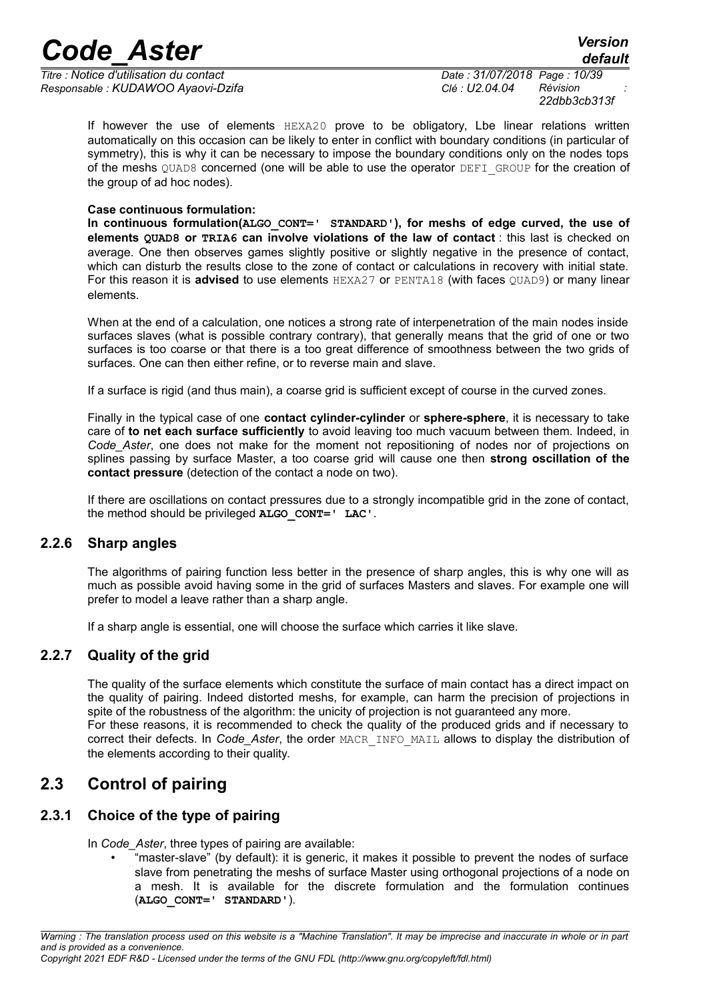*Titre : Notice d'utilisation du contact Date : 31/07/2018 Page : 10/39 Responsable : KUDAWOO Ayaovi-Dzifa Clé : U2.04.04 Révision :*

*22dbb3cb313f*

If however the use of elements HEXA20 prove to be obligatory, Lbe linear relations written automatically on this occasion can be likely to enter in conflict with boundary conditions (in particular of symmetry), this is why it can be necessary to impose the boundary conditions only on the nodes tops of the meshs QUAD8 concerned (one will be able to use the operator DEFI\_GROUP for the creation of the group of ad hoc nodes).

#### **Case continuous formulation:**

**In continuous formulation(ALGO\_CONT=' STANDARD'), for meshs of edge curved, the use of elements QUAD8 or TRIA6 can involve violations of the law of contact** : this last is checked on average. One then observes games slightly positive or slightly negative in the presence of contact, which can disturb the results close to the zone of contact or calculations in recovery with initial state. For this reason it is **advised** to use elements HEXA27 or PENTA18 (with faces OUAD9) or many linear elements.

When at the end of a calculation, one notices a strong rate of interpenetration of the main nodes inside surfaces slaves (what is possible contrary contrary), that generally means that the grid of one or two surfaces is too coarse or that there is a too great difference of smoothness between the two grids of surfaces. One can then either refine, or to reverse main and slave.

If a surface is rigid (and thus main), a coarse grid is sufficient except of course in the curved zones.

Finally in the typical case of one **contact cylinder-cylinder** or **sphere-sphere**, it is necessary to take care of **to net each surface sufficiently** to avoid leaving too much vacuum between them. Indeed, in *Code\_Aster*, one does not make for the moment not repositioning of nodes nor of projections on splines passing by surface Master, a too coarse grid will cause one then **strong oscillation of the contact pressure** (detection of the contact a node on two).

If there are oscillations on contact pressures due to a strongly incompatible grid in the zone of contact, the method should be privileged **ALGO\_CONT=' LAC'**.

#### **2.2.6 Sharp angles**

<span id="page-9-3"></span>The algorithms of pairing function less better in the presence of sharp angles, this is why one will as much as possible avoid having some in the grid of surfaces Masters and slaves. For example one will prefer to model a leave rather than a sharp angle.

<span id="page-9-2"></span>If a sharp angle is essential, one will choose the surface which carries it like slave.

#### **2.2.7 Quality of the grid**

The quality of the surface elements which constitute the surface of main contact has a direct impact on the quality of pairing. Indeed distorted meshs, for example, can harm the precision of projections in spite of the robustness of the algorithm: the unicity of projection is not guaranteed any more. For these reasons, it is recommended to check the quality of the produced grids and if necessary to correct their defects. In *Code\_Aster*, the order MACR\_INFO\_MAIL allows to display the distribution of the elements according to their quality.

### <span id="page-9-1"></span>**2.3 Control of pairing**

#### **2.3.1 Choice of the type of pairing**

<span id="page-9-0"></span>In *Code\_Aster*, three types of pairing are available:

<sup>"</sup>master-slave" (by default): it is generic, it makes it possible to prevent the nodes of surface slave from penetrating the meshs of surface Master using orthogonal projections of a node on a mesh. It is available for the discrete formulation and the formulation continues (**ALGO\_CONT=' STANDARD'**).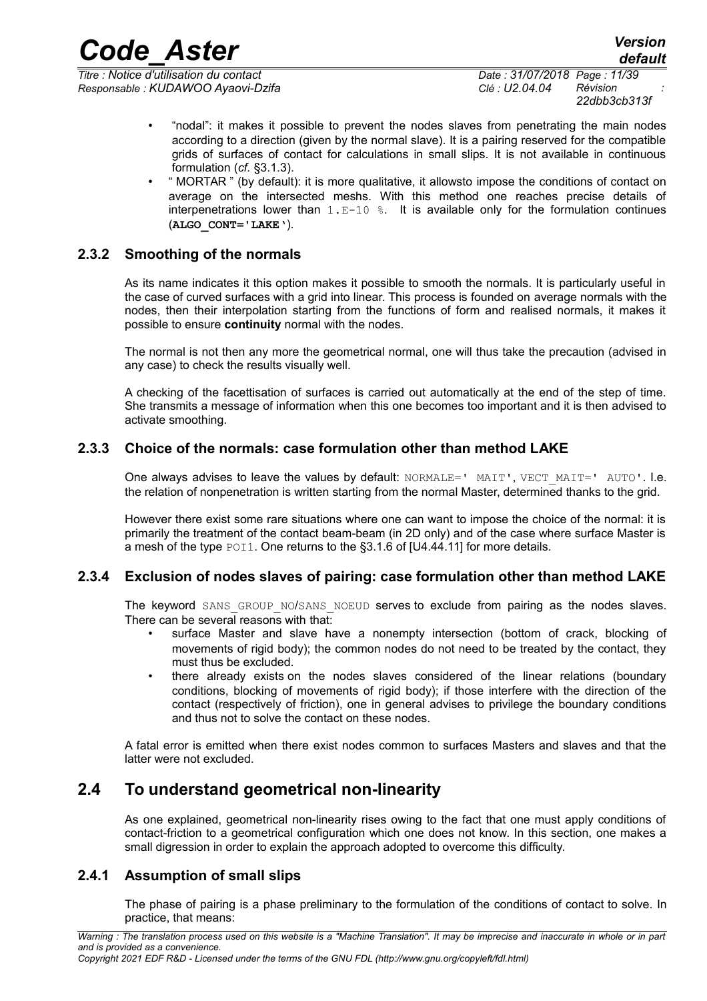*Titre : Notice d'utilisation du contact Date : 31/07/2018 Page : 11/39 Responsable : KUDAWOO Ayaovi-Dzifa Clé : U2.04.04 Révision :*

• "nodal": it makes it possible to prevent the nodes slaves from penetrating the main nodes according to a direction (given by the normal slave). It is a pairing reserved for the compatible grids of surfaces of contact for calculations in small slips. It is not available in continuous formulation (*cf.* [§3.1.3\)](#page-16-0).

*Code\_Aster Version*

• " MORTAR " (by default): it is more qualitative, it allowsto impose the conditions of contact on average on the intersected meshs. With this method one reaches precise details of interpenetrations lower than  $1.E-10$  %. It is available only for the formulation continues (**ALGO\_CONT='LAKE'**).

#### **2.3.2 Smoothing of the normals**

<span id="page-10-4"></span>As its name indicates it this option makes it possible to smooth the normals. It is particularly useful in the case of curved surfaces with a grid into linear. This process is founded on average normals with the nodes, then their interpolation starting from the functions of form and realised normals, it makes it possible to ensure **continuity** normal with the nodes.

The normal is not then any more the geometrical normal, one will thus take the precaution (advised in any case) to check the results visually well.

A checking of the facettisation of surfaces is carried out automatically at the end of the step of time. She transmits a message of information when this one becomes too important and it is then advised to activate smoothing.

#### **2.3.3 Choice of the normals: case formulation other than method LAKE**

<span id="page-10-3"></span>One always advises to leave the values by default:  $NORMALE=' MAT', VECT MAT=' MUTO'. I.e.$ the relation of nonpenetration is written starting from the normal Master, determined thanks to the grid.

However there exist some rare situations where one can want to impose the choice of the normal: it is primarily the treatment of the contact beam-beam (in 2D only) and of the case where surface Master is a mesh of the type POI1. One returns to the §3.1.6 of [U4.44.11] for more details.

#### **2.3.4 Exclusion of nodes slaves of pairing: case formulation other than method LAKE**

<span id="page-10-2"></span>The keyword SANS GROUP NO/SANS NOEUD serves to exclude from pairing as the nodes slaves. There can be several reasons with that:

- surface Master and slave have a nonempty intersection (bottom of crack, blocking of movements of rigid body); the common nodes do not need to be treated by the contact, they must thus be excluded.
- there already exists on the nodes slaves considered of the linear relations (boundary conditions, blocking of movements of rigid body); if those interfere with the direction of the contact (respectively of friction), one in general advises to privilege the boundary conditions and thus not to solve the contact on these nodes.

A fatal error is emitted when there exist nodes common to surfaces Masters and slaves and that the latter were not excluded.

### **2.4 To understand geometrical non-linearity**

<span id="page-10-1"></span>As one explained, geometrical non-linearity rises owing to the fact that one must apply conditions of contact-friction to a geometrical configuration which one does not know. In this section, one makes a small digression in order to explain the approach adopted to overcome this difficulty.

#### **2.4.1 Assumption of small slips**

<span id="page-10-0"></span>The phase of pairing is a phase preliminary to the formulation of the conditions of contact to solve. In practice, that means: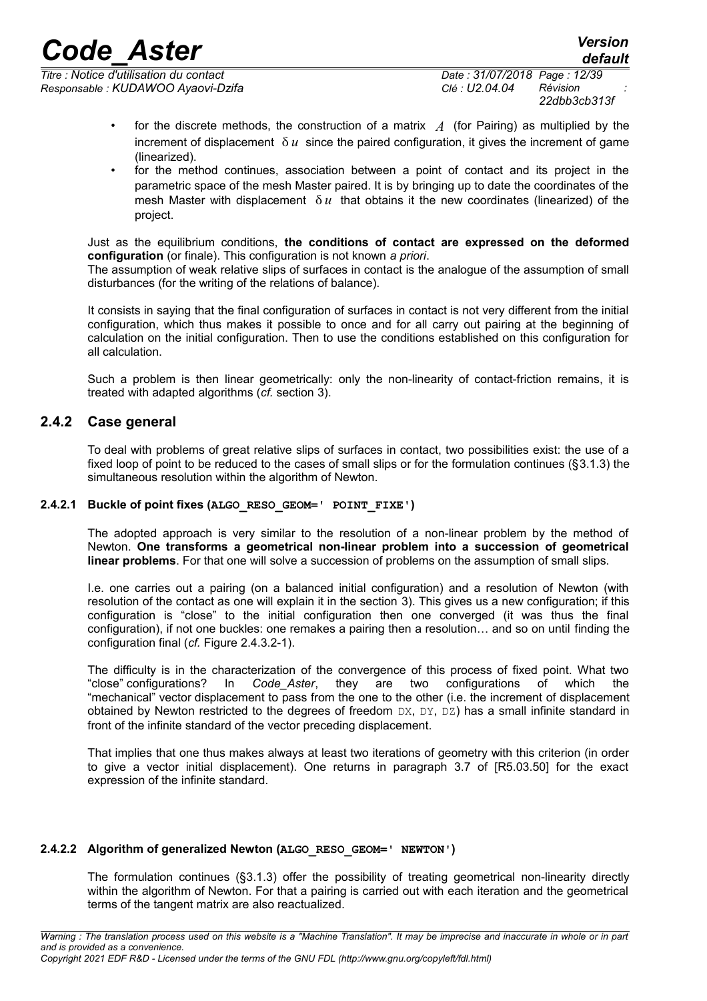*Titre : Notice d'utilisation du contact Date : 31/07/2018 Page : 12/39 Responsable : KUDAWOO Ayaovi-Dzifa Clé : U2.04.04 Révision :*

*22dbb3cb313f*

- for the discrete methods, the construction of a matrix *A* (for Pairing) as multiplied by the increment of displacement  $\delta u$  since the paired configuration, it gives the increment of game (linearized).
- for the method continues, association between a point of contact and its project in the parametric space of the mesh Master paired. It is by bringing up to date the coordinates of the mesh Master with displacement  $\delta u$  that obtains it the new coordinates (linearized) of the project.

Just as the equilibrium conditions, **the conditions of contact are expressed on the deformed configuration** (or finale). This configuration is not known *a priori*.

The assumption of weak relative slips of surfaces in contact is the analogue of the assumption of small disturbances (for the writing of the relations of balance).

It consists in saying that the final configuration of surfaces in contact is not very different from the initial configuration, which thus makes it possible to once and for all carry out pairing at the beginning of calculation on the initial configuration. Then to use the conditions established on this configuration for all calculation.

Such a problem is then linear geometrically: only the non-linearity of contact-friction remains, it is treated with adapted algorithms (*cf.* section [3\)](#page-14-3).

#### **2.4.2 Case general**

<span id="page-11-2"></span>To deal with problems of great relative slips of surfaces in contact, two possibilities exist: the use of a fixed loop of point to be reduced to the cases of small slips or for the formulation continues ([§3.1.3\)](#page-16-0) the simultaneous resolution within the algorithm of Newton.

#### **2.4.2.1 Buckle of point fixes (ALGO\_RESO\_GEOM=' POINT\_FIXE')**

<span id="page-11-1"></span>The adopted approach is very similar to the resolution of a non-linear problem by the method of Newton. **One transforms a geometrical non-linear problem into a succession of geometrical linear problems**. For that one will solve a succession of problems on the assumption of small slips.

I.e. one carries out a pairing (on a balanced initial configuration) and a resolution of Newton (with resolution of the contact as one will explain it in the section [3\)](#page-14-3). This gives us a new configuration; if this configuration is "close" to the initial configuration then one converged (it was thus the final configuration), if not one buckles: one remakes a pairing then a resolution… and so on until finding the configuration final (*cf.* [Figure 2.4.3.2-1\)](#page-13-0).

The difficulty is in the characterization of the convergence of this process of fixed point. What two "close" configurations? In *Code\_Aster*, they are two configurations of which the "mechanical" vector displacement to pass from the one to the other (i.e. the increment of displacement obtained by Newton restricted to the degrees of freedom  $DX, DY, DZ$ ) has a small infinite standard in front of the infinite standard of the vector preceding displacement.

That implies that one thus makes always at least two iterations of geometry with this criterion (in order to give a vector initial displacement). One returns in paragraph 3.7 of [R5.03.50] for the exact expression of the infinite standard.

#### **2.4.2.2 Algorithm of generalized Newton (ALGO\_RESO\_GEOM=' NEWTON')**

<span id="page-11-0"></span>The formulation continues ([§3.1.3\)](#page-16-0) offer the possibility of treating geometrical non-linearity directly within the algorithm of Newton. For that a pairing is carried out with each iteration and the geometrical terms of the tangent matrix are also reactualized.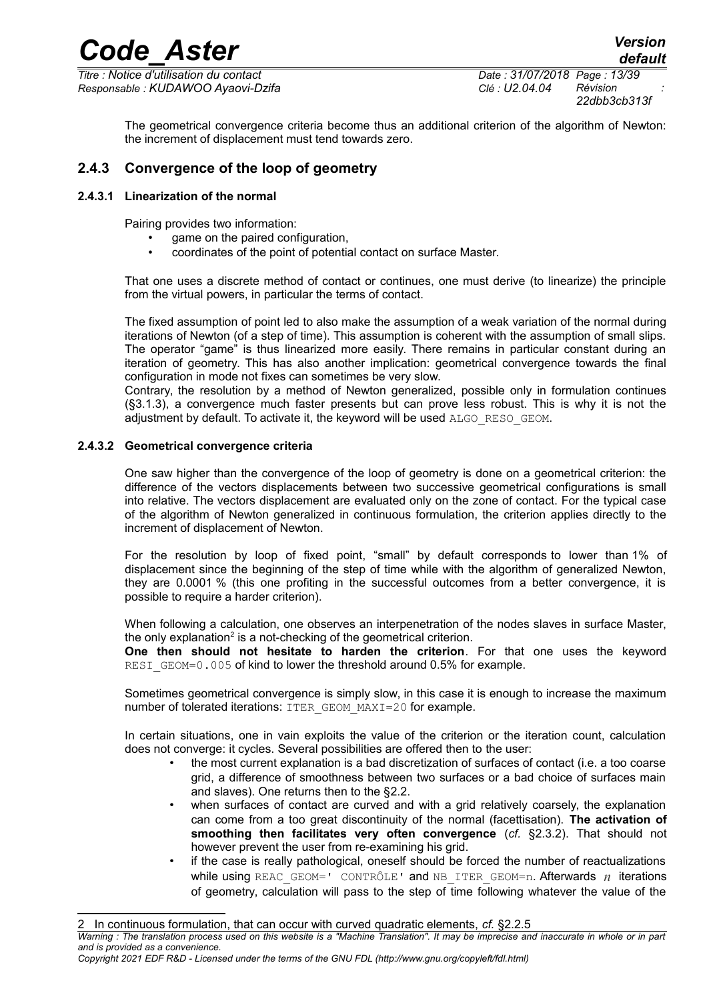*Titre : Notice d'utilisation du contact Date : 31/07/2018 Page : 13/39 Responsable : KUDAWOO Ayaovi-Dzifa Clé : U2.04.04 Révision :*

*22dbb3cb313f*

*default*

<span id="page-12-2"></span>The geometrical convergence criteria become thus an additional criterion of the algorithm of Newton: the increment of displacement must tend towards zero.

#### **2.4.3 Convergence of the loop of geometry**

#### **2.4.3.1 Linearization of the normal**

<span id="page-12-1"></span>Pairing provides two information:

- game on the paired configuration,
- coordinates of the point of potential contact on surface Master.

That one uses a discrete method of contact or continues, one must derive (to linearize) the principle from the virtual powers, in particular the terms of contact.

The fixed assumption of point led to also make the assumption of a weak variation of the normal during iterations of Newton (of a step of time). This assumption is coherent with the assumption of small slips. The operator "game" is thus linearized more easily. There remains in particular constant during an iteration of geometry. This has also another implication: geometrical convergence towards the final configuration in mode not fixes can sometimes be very slow.

Contrary, the resolution by a method of Newton generalized, possible only in formulation continues ([§3.1.3\)](#page-16-0), a convergence much faster presents but can prove less robust. This is why it is not the adjustment by default. To activate it, the keyword will be used ALGO\_RESO\_GEOM.

#### **2.4.3.2 Geometrical convergence criteria**

<span id="page-12-0"></span>One saw higher than the convergence of the loop of geometry is done on a geometrical criterion: the difference of the vectors displacements between two successive geometrical configurations is small into relative. The vectors displacement are evaluated only on the zone of contact. For the typical case of the algorithm of Newton generalized in continuous formulation, the criterion applies directly to the increment of displacement of Newton.

For the resolution by loop of fixed point, "small" by default corresponds to lower than 1% of displacement since the beginning of the step of time while with the algorithm of generalized Newton, they are 0.0001 % (this one profiting in the successful outcomes from a better convergence, it is possible to require a harder criterion).

When following a calculation, one observes an interpenetration of the nodes slaves in surface Master, the only explanation<sup>[2](#page-12-3)</sup> is a not-checking of the geometrical criterion.

**One then should not hesitate to harden the criterion**. For that one uses the keyword RESI GEOM=0.005 of kind to lower the threshold around 0.5% for example.

Sometimes geometrical convergence is simply slow, in this case it is enough to increase the maximum number of tolerated iterations: ITER GEOM MAXI=20 for example.

In certain situations, one in vain exploits the value of the criterion or the iteration count, calculation does not converge: it cycles. Several possibilities are offered then to the user:

- the most current explanation is a bad discretization of surfaces of contact (i.e. a too coarse grid, a difference of smoothness between two surfaces or a bad choice of surfaces main and slaves). One returns then to the [§2.2.](#page-6-0)
- when surfaces of contact are curved and with a grid relatively coarsely, the explanation can come from a too great discontinuity of the normal (facettisation). **The activation of smoothing then facilitates very often convergence** (*cf.* [§2.3.2\)](#page-10-4). That should not however prevent the user from re-examining his grid.
- if the case is really pathological, oneself should be forced the number of reactualizations while using REAC GEOM=' CONTRÔLE' and NB\_ITER\_GEOM=n. Afterwards  $n$  iterations of geometry, calculation will pass to the step of time following whatever the value of the

<span id="page-12-3"></span>2 In continuous formulation, that can occur with curved quadratic elements, *cf.* [§2.2.5](#page-8-0) *Warning : The translation process used on this website is a "Machine Translation". It may be imprecise and inaccurate in whole or in part and is provided as a convenience. Copyright 2021 EDF R&D - Licensed under the terms of the GNU FDL (http://www.gnu.org/copyleft/fdl.html)*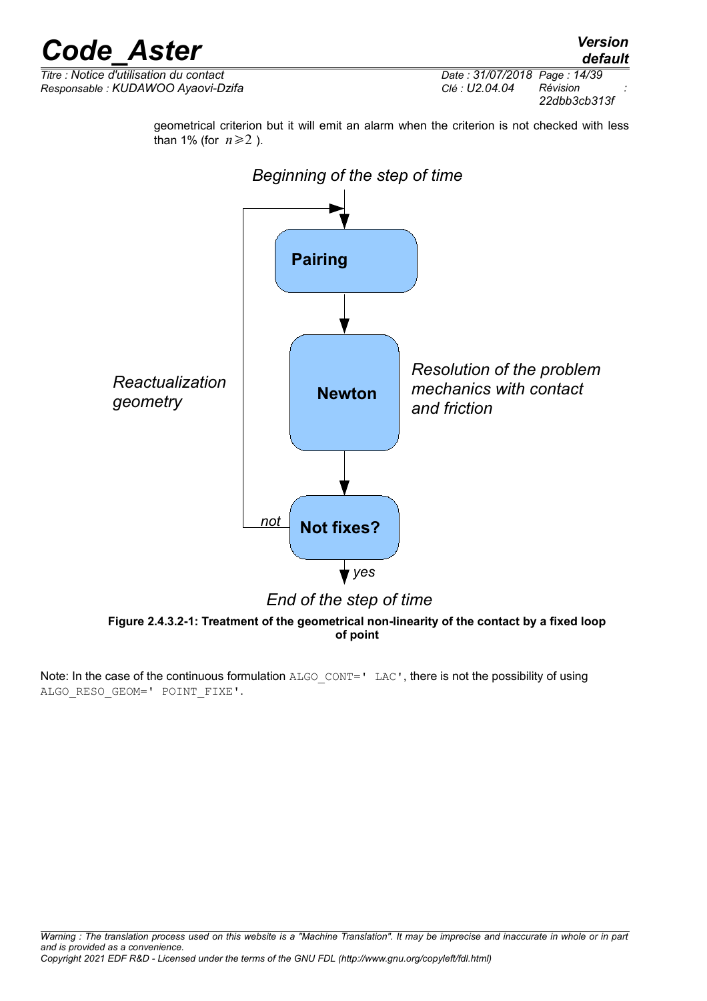*Titre : Notice d'utilisation du contact Date : 31/07/2018 Page : 14/39 Responsable : KUDAWOO Ayaovi-Dzifa Clé : U2.04.04 Révision :*

*22dbb3cb313f*

geometrical criterion but it will emit an alarm when the criterion is not checked with less than 1% (for  $n \ge 2$ ).



<span id="page-13-0"></span>**Figure 2.4.3.2-1: Treatment of the geometrical non-linearity of the contact by a fixed loop of point**

Note: In the case of the continuous formulation ALGO CONT=' LAC', there is not the possibility of using ALGO\_RESO\_GEOM=' POINT\_FIXE'.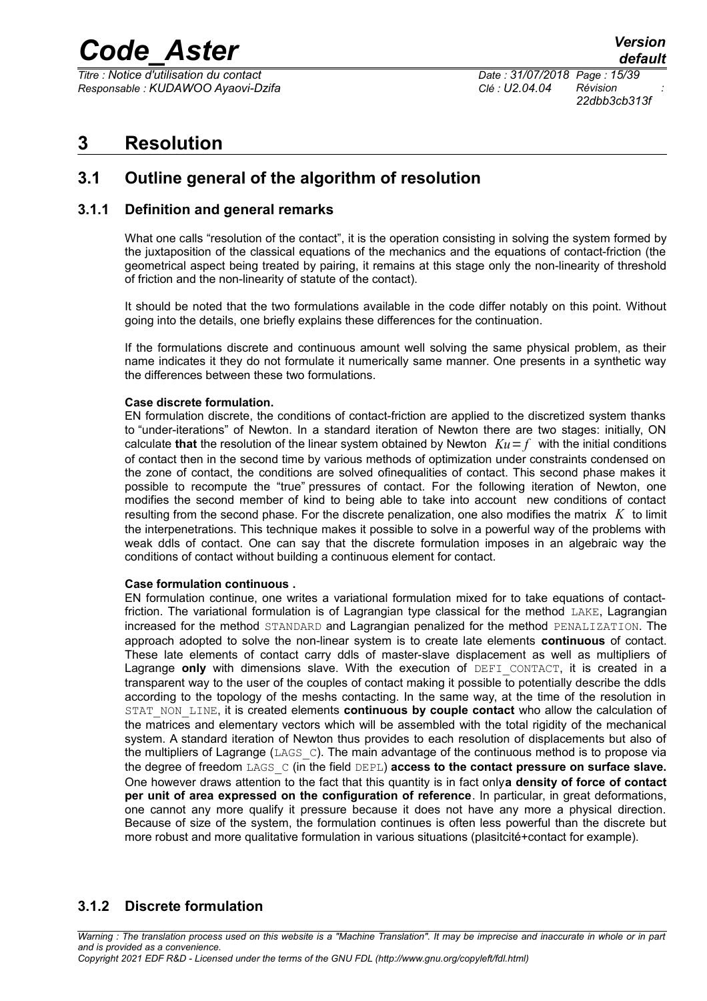*Titre : Notice d'utilisation du contact Date : 31/07/2018 Page : 15/39 Responsable : KUDAWOO Ayaovi-Dzifa Clé : U2.04.04 Révision :*

*22dbb3cb313f*

### <span id="page-14-3"></span>**3 Resolution**

### <span id="page-14-2"></span>**3.1 Outline general of the algorithm of resolution**

#### **3.1.1 Definition and general remarks**

<span id="page-14-1"></span>What one calls "resolution of the contact", it is the operation consisting in solving the system formed by the juxtaposition of the classical equations of the mechanics and the equations of contact-friction (the geometrical aspect being treated by pairing, it remains at this stage only the non-linearity of threshold of friction and the non-linearity of statute of the contact).

It should be noted that the two formulations available in the code differ notably on this point. Without going into the details, one briefly explains these differences for the continuation.

If the formulations discrete and continuous amount well solving the same physical problem, as their name indicates it they do not formulate it numerically same manner. One presents in a synthetic way the differences between these two formulations.

#### **Case discrete formulation.**

EN formulation discrete, the conditions of contact-friction are applied to the discretized system thanks to "under-iterations" of Newton. In a standard iteration of Newton there are two stages: initially, ON calculate **that** the resolution of the linear system obtained by Newton  $Ku = f$  with the initial conditions of contact then in the second time by various methods of optimization under constraints condensed on the zone of contact, the conditions are solved ofinequalities of contact. This second phase makes it possible to recompute the "true" pressures of contact. For the following iteration of Newton, one modifies the second member of kind to being able to take into account new conditions of contact resulting from the second phase. For the discrete penalization, one also modifies the matrix *K* to limit the interpenetrations. This technique makes it possible to solve in a powerful way of the problems with weak ddls of contact. One can say that the discrete formulation imposes in an algebraic way the conditions of contact without building a continuous element for contact.

#### **Case formulation continuous .**

EN formulation continue, one writes a variational formulation mixed for to take equations of contactfriction. The variational formulation is of Lagrangian type classical for the method LAKE, Lagrangian increased for the method STANDARD and Lagrangian penalized for the method PENALIZATION. The approach adopted to solve the non-linear system is to create late elements **continuous** of contact. These late elements of contact carry ddls of master-slave displacement as well as multipliers of Lagrange only with dimensions slave. With the execution of DEFI CONTACT, it is created in a transparent way to the user of the couples of contact making it possible to potentially describe the ddls according to the topology of the meshs contacting. In the same way, at the time of the resolution in STAT\_NON\_LINE, it is created elements **continuous by couple contact** who allow the calculation of the matrices and elementary vectors which will be assembled with the total rigidity of the mechanical system. A standard iteration of Newton thus provides to each resolution of displacements but also of the multipliers of Lagrange (LAGS C). The main advantage of the continuous method is to propose via the degree of freedom LAGS\_C (in the field DEPL) **access to the contact pressure on surface slave.** One however draws attention to the fact that this quantity is in fact only**a density of force of contact per unit of area expressed on the configuration of reference**. In particular, in great deformations, one cannot any more qualify it pressure because it does not have any more a physical direction. Because of size of the system, the formulation continues is often less powerful than the discrete but more robust and more qualitative formulation in various situations (plasitcité+contact for example).

#### <span id="page-14-0"></span>**3.1.2 Discrete formulation**

*Warning : The translation process used on this website is a "Machine Translation". It may be imprecise and inaccurate in whole or in part and is provided as a convenience. Copyright 2021 EDF R&D - Licensed under the terms of the GNU FDL (http://www.gnu.org/copyleft/fdl.html)*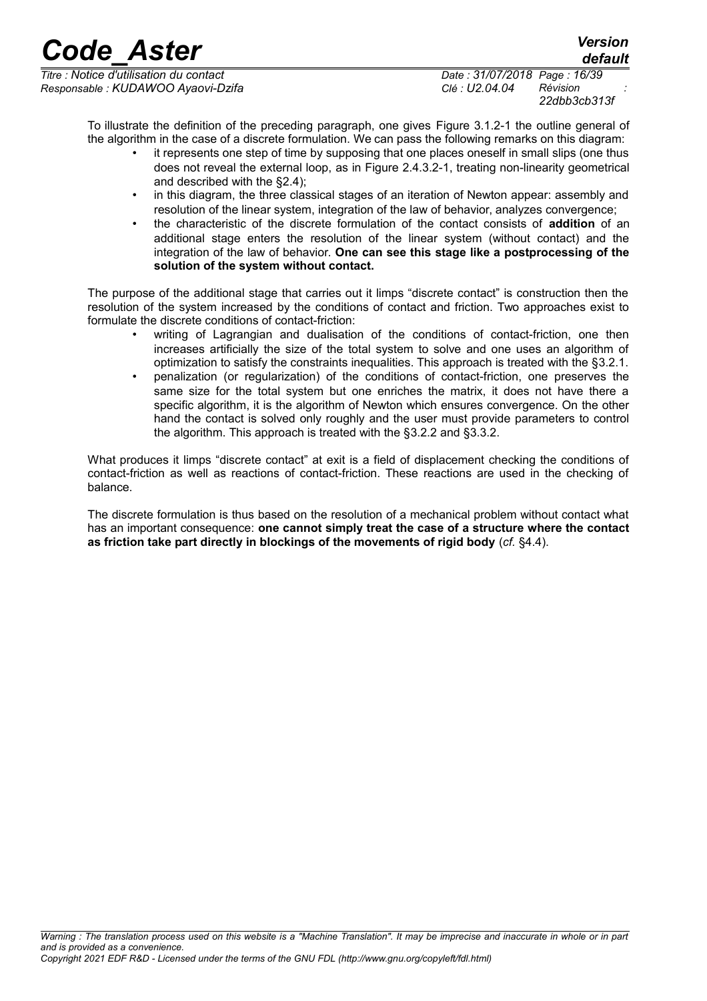*Titre : Notice d'utilisation du contact Date : 31/07/2018 Page : 16/39 Responsable : KUDAWOO Ayaovi-Dzifa Clé : U2.04.04 Révision :*

*22dbb3cb313f*

*default*

To illustrate the definition of the preceding paragraph, one gives [Figure 3.1.2-1](#page-16-1) the outline general of the algorithm in the case of a discrete formulation. We can pass the following remarks on this diagram:

- it represents one step of time by supposing that one places oneself in small slips (one thus does not reveal the external loop, as in [Figure 2.4.3.2-1,](#page-13-0) treating non-linearity geometrical and described with the [§2.4\)](#page-10-1);
- in this diagram, the three classical stages of an iteration of Newton appear: assembly and resolution of the linear system, integration of the law of behavior, analyzes convergence;
- the characteristic of the discrete formulation of the contact consists of **addition** of an additional stage enters the resolution of the linear system (without contact) and the integration of the law of behavior. **One can see this stage like a postprocessing of the solution of the system without contact.**

The purpose of the additional stage that carries out it limps "discrete contact" is construction then the resolution of the system increased by the conditions of contact and friction. Two approaches exist to formulate the discrete conditions of contact-friction:

- writing of Lagrangian and dualisation of the conditions of contact-friction, one then increases artificially the size of the total system to solve and one uses an algorithm of optimization to satisfy the constraints inequalities. This approach is treated with the [§3.2.1.](#page-20-1)
- penalization (or regularization) of the conditions of contact-friction, one preserves the same size for the total system but one enriches the matrix, it does not have there a specific algorithm, it is the algorithm of Newton which ensures convergence. On the other hand the contact is solved only roughly and the user must provide parameters to control the algorithm. This approach is treated with the [§3.2.2](#page-21-0) and [§3.3.2.](#page-23-0)

What produces it limps "discrete contact" at exit is a field of displacement checking the conditions of contact-friction as well as reactions of contact-friction. These reactions are used in the checking of balance.

The discrete formulation is thus based on the resolution of a mechanical problem without contact what has an important consequence: **one cannot simply treat the case of a structure where the contact as friction take part directly in blockings of the movements of rigid body** (*cf.* [§4.4\)](#page-30-1).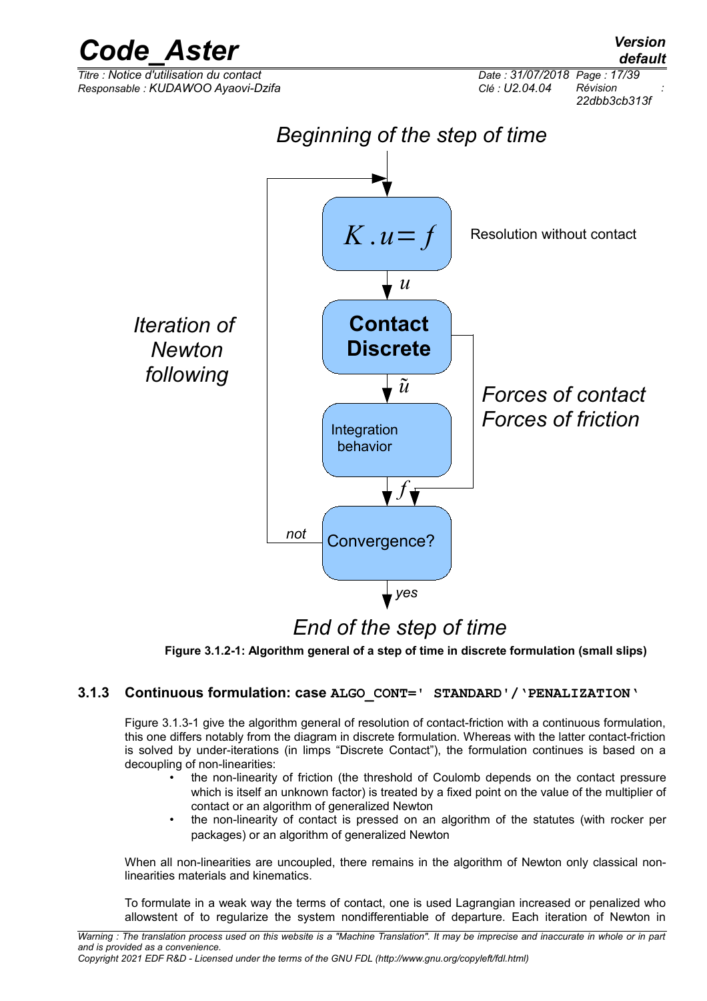

## *End of the step of time*

<span id="page-16-1"></span>**Figure 3.1.2-1: Algorithm general of a step of time in discrete formulation (small slips)**

#### **3.1.3 Continuous formulation: case ALGO\_CONT=' STANDARD'/'PENALIZATION'**

<span id="page-16-0"></span>[Figure 3.1.3-1](#page-17-0) give the algorithm general of resolution of contact-friction with a continuous formulation, this one differs notably from the diagram in discrete formulation. Whereas with the latter contact-friction is solved by under-iterations (in limps "Discrete Contact"), the formulation continues is based on a decoupling of non-linearities:

- the non-linearity of friction (the threshold of Coulomb depends on the contact pressure which is itself an unknown factor) is treated by a fixed point on the value of the multiplier of contact or an algorithm of generalized Newton
- the non-linearity of contact is pressed on an algorithm of the statutes (with rocker per packages) or an algorithm of generalized Newton

When all non-linearities are uncoupled, there remains in the algorithm of Newton only classical nonlinearities materials and kinematics.

To formulate in a weak way the terms of contact, one is used Lagrangian increased or penalized who allowstent of to regularize the system nondifferentiable of departure. Each iteration of Newton in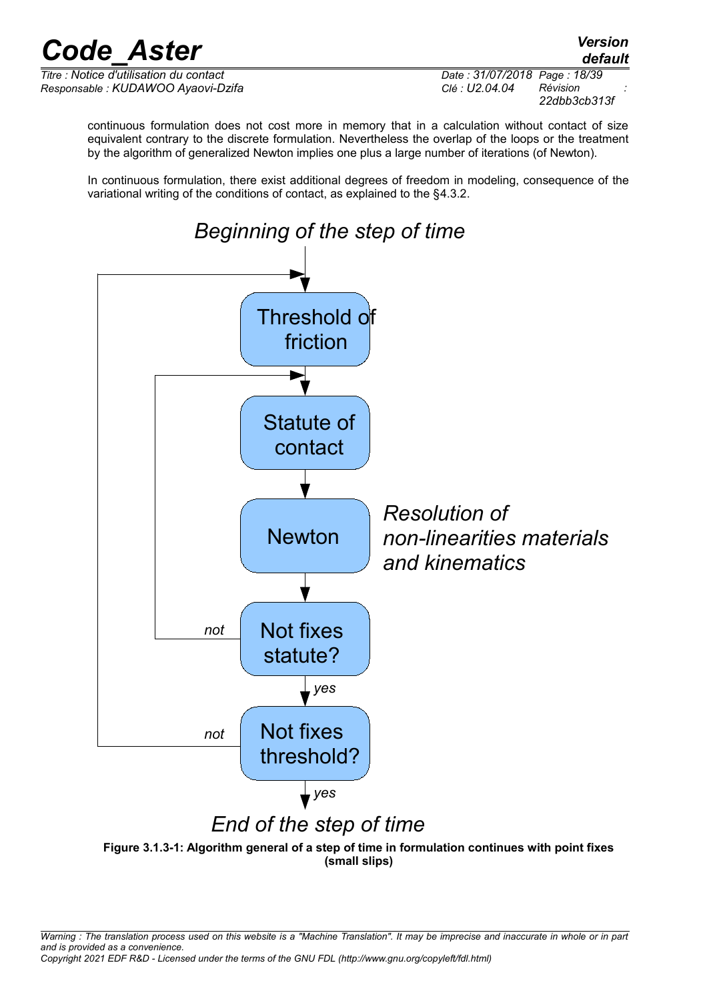*default*

*Titre : Notice d'utilisation du contact Date : 31/07/2018 Page : 18/39 Responsable : KUDAWOO Ayaovi-Dzifa Clé : U2.04.04 Révision :*

*22dbb3cb313f*

continuous formulation does not cost more in memory that in a calculation without contact of size equivalent contrary to the discrete formulation. Nevertheless the overlap of the loops or the treatment by the algorithm of generalized Newton implies one plus a large number of iterations (of Newton).

In continuous formulation, there exist additional degrees of freedom in modeling, consequence of the variational writing of the conditions of contact, as explained to the [§4.3.2.](#page-29-0)



<span id="page-17-0"></span>**Figure 3.1.3-1: Algorithm general of a step of time in formulation continues with point fixes (small slips)**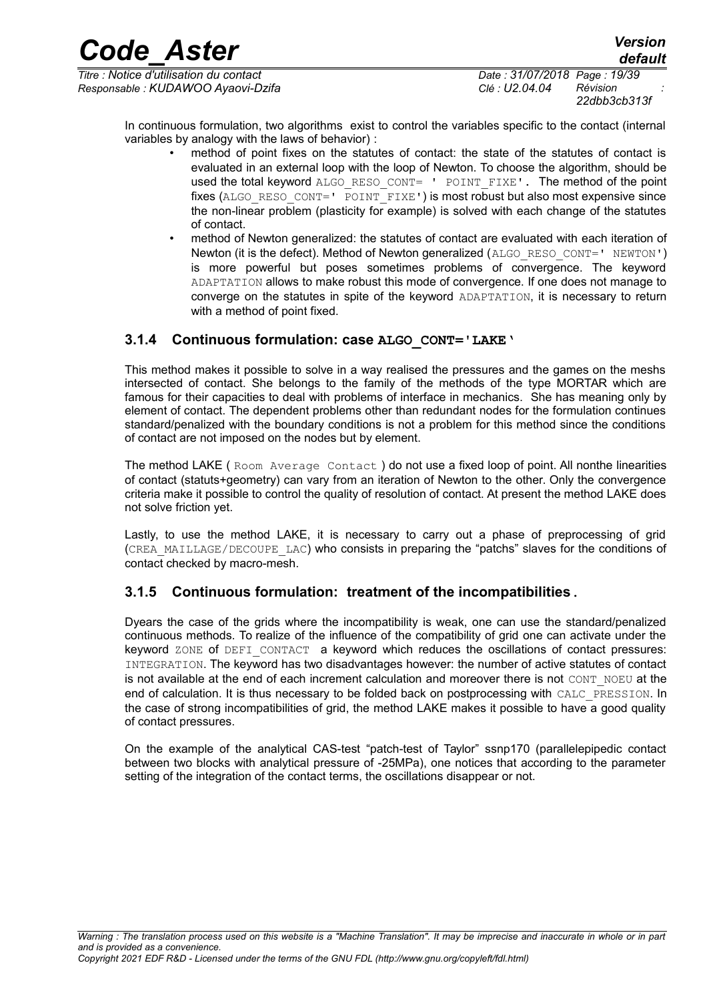*Titre : Notice d'utilisation du contact Date : 31/07/2018 Page : 19/39 Responsable : KUDAWOO Ayaovi-Dzifa Clé : U2.04.04 Révision :*

*22dbb3cb313f*

In continuous formulation, two algorithms exist to control the variables specific to the contact (internal variables by analogy with the laws of behavior) :

- method of point fixes on the statutes of contact: the state of the statutes of contact is evaluated in an external loop with the loop of Newton. To choose the algorithm, should be used the total keyword ALGO\_RESO\_CONT= ' POINT\_FIXE'. The method of the point fixes (ALGO\_RESO\_CONT=' POINT\_FIXE') is most robust but also most expensive since the non-linear problem (plasticity for example) is solved with each change of the statutes of contact.
- method of Newton generalized: the statutes of contact are evaluated with each iteration of Newton (it is the defect). Method of Newton generalized (ALGO\_RESO\_CONT=' NEWTON') is more powerful but poses sometimes problems of convergence. The keyword ADAPTATION allows to make robust this mode of convergence. If one does not manage to converge on the statutes in spite of the keyword ADAPTATION, it is necessary to return with a method of point fixed.

#### <span id="page-18-1"></span>**3.1.4 Continuous formulation: case ALGO\_CONT='LAKE'**

This method makes it possible to solve in a way realised the pressures and the games on the meshs intersected of contact. She belongs to the family of the methods of the type MORTAR which are famous for their capacities to deal with problems of interface in mechanics. She has meaning only by element of contact. The dependent problems other than redundant nodes for the formulation continues standard/penalized with the boundary conditions is not a problem for this method since the conditions of contact are not imposed on the nodes but by element.

The method LAKE ( Room Average Contact ) do not use a fixed loop of point. All nonthe linearities of contact (statuts+geometry) can vary from an iteration of Newton to the other. Only the convergence criteria make it possible to control the quality of resolution of contact. At present the method LAKE does not solve friction yet.

Lastly, to use the method LAKE, it is necessary to carry out a phase of preprocessing of grid (CREA\_MAILLAGE/DECOUPE\_LAC) who consists in preparing the "patchs" slaves for the conditions of contact checked by macro-mesh.

### <span id="page-18-0"></span>**3.1.5 Continuous formulation: treatment of the incompatibilities.**

Dyears the case of the grids where the incompatibility is weak, one can use the standard/penalized continuous methods. To realize of the influence of the compatibility of grid one can activate under the keyword ZONE of DEFI CONTACT a keyword which reduces the oscillations of contact pressures: INTEGRATION. The keyword has two disadvantages however: the number of active statutes of contact is not available at the end of each increment calculation and moreover there is not CONT\_NOEU at the end of calculation. It is thus necessary to be folded back on postprocessing with CALC\_PRESSION. In the case of strong incompatibilities of grid, the method LAKE makes it possible to have a good quality of contact pressures.

On the example of the analytical CAS-test "patch-test of Taylor" ssnp170 (parallelepipedic contact between two blocks with analytical pressure of -25MPa), one notices that according to the parameter setting of the integration of the contact terms, the oscillations disappear or not.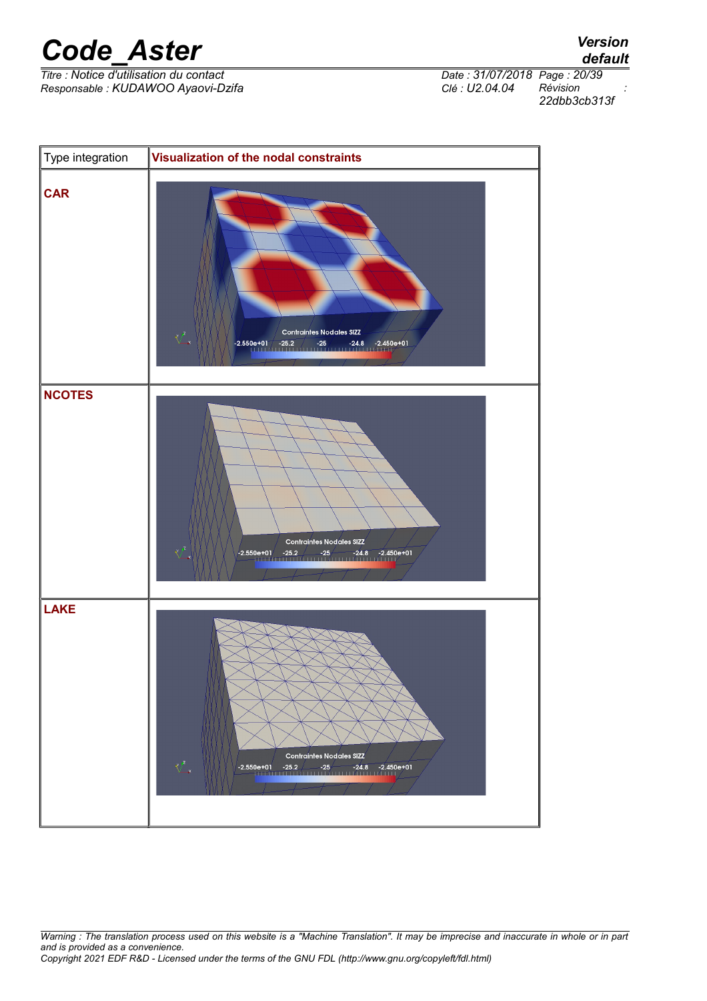*Titre : Notice d'utilisation du contact Date : 31/07/2018 Page : 20/39 Responsable : KUDAWOO Ayaovi-Dzifa Clé : U2.04.04 Révision :*

*default 22dbb3cb313f*



*Warning : The translation process used on this website is a "Machine Translation". It may be imprecise and inaccurate in whole or in part and is provided as a convenience. Copyright 2021 EDF R&D - Licensed under the terms of the GNU FDL (http://www.gnu.org/copyleft/fdl.html)*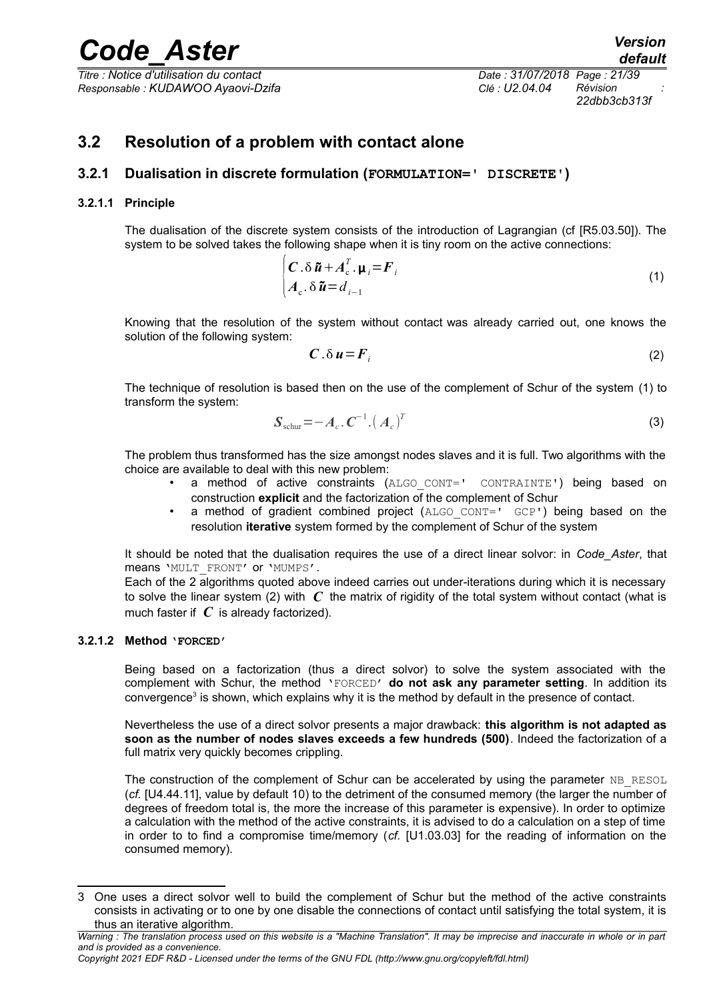*Titre : Notice d'utilisation du contact Date : 31/07/2018 Page : 21/39 Responsable : KUDAWOO Ayaovi-Dzifa Clé : U2.04.04 Révision :*

<span id="page-20-5"></span><span id="page-20-4"></span>*22dbb3cb313f*

### <span id="page-20-2"></span>**3.2 Resolution of a problem with contact alone**

#### <span id="page-20-1"></span>**3.2.1 Dualisation in discrete formulation (FORMULATION=' DISCRETE')**

#### **3.2.1.1 Principle**

<span id="page-20-0"></span>The dualisation of the discrete system consists of the introduction of Lagrangian (cf [R5.03.50]). The system to be solved takes the following shape when it is tiny room on the active connections:

$$
\begin{cases}\nC \cdot \delta \tilde{\mathbf{u}} + A_c^T \cdot \mathbf{\mu}_i = \mathbf{F}_i \\
A_c \cdot \delta \tilde{\mathbf{u}} = d_{i-1}\n\end{cases}
$$
\n(1)

Knowing that the resolution of the system without contact was already carried out, one knows the solution of the following system:

$$
C \cdot \delta u = F_i \tag{2}
$$

The technique of resolution is based then on the use of the complement of Schur of the system [\(1\)](#page-20-5) to transform the system:

$$
\boldsymbol{S}_{\text{schur}} = -\boldsymbol{A}_c \cdot \boldsymbol{C}^{-1} \cdot (\boldsymbol{A}_c)^T \tag{3}
$$

The problem thus transformed has the size amongst nodes slaves and it is full. Two algorithms with the choice are available to deal with this new problem:

- a method of active constraints (ALGO CONT=' CONTRAINTE') being based on construction **explicit** and the factorization of the complement of Schur
- a method of gradient combined project (ALGO CONT=' GCP') being based on the resolution **iterative** system formed by the complement of Schur of the system

It should be noted that the dualisation requires the use of a direct linear solvor: in *Code\_Aster*, that means 'MULT\_FRONT' or 'MUMPS'.

Each of the 2 algorithms quoted above indeed carries out under-iterations during which it is necessary to solve the linear system [\(2\)](#page-20-4) with *C* the matrix of rigidity of the total system without contact (what is much faster if *C* is already factorized).

#### **3.2.1.2 Method 'FORCED'**

<span id="page-20-3"></span>Being based on a factorization (thus a direct solvor) to solve the system associated with the complement with Schur, the method 'FORCED' **do not ask any parameter setting**. In addition its convergence<sup>[3](#page-20-6)</sup> is shown, which explains why it is the method by default in the presence of contact.

Nevertheless the use of a direct solvor presents a major drawback: **this algorithm is not adapted as soon as the number of nodes slaves exceeds a few hundreds (500)**. Indeed the factorization of a full matrix very quickly becomes crippling.

The construction of the complement of Schur can be accelerated by using the parameter NB RESOL (*cf.* [U4.44.11], value by default 10) to the detriment of the consumed memory (the larger the number of degrees of freedom total is, the more the increase of this parameter is expensive). In order to optimize a calculation with the method of the active constraints, it is advised to do a calculation on a step of time in order to to find a compromise time/memory (*cf.* [U1.03.03] for the reading of information on the consumed memory).

<span id="page-20-6"></span><sup>3</sup> One uses a direct solvor well to build the complement of Schur but the method of the active constraints consists in activating or to one by one disable the connections of contact until satisfying the total system, it is thus an iterative algorithm.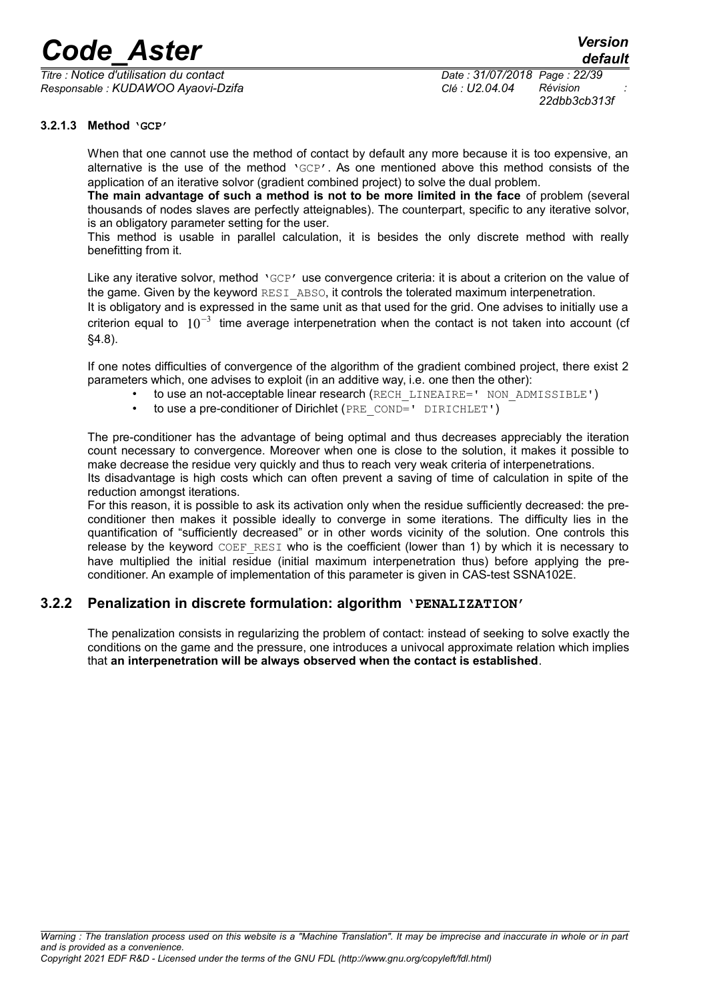*Titre : Notice d'utilisation du contact Date : 31/07/2018 Page : 22/39 Responsable : KUDAWOO Ayaovi-Dzifa Clé : U2.04.04 Révision :*

*22dbb3cb313f*

#### **3.2.1.3 Method 'GCP'**

<span id="page-21-1"></span>When that one cannot use the method of contact by default any more because it is too expensive, an alternative is the use of the method 'GCP'. As one mentioned above this method consists of the application of an iterative solvor (gradient combined project) to solve the dual problem.

**The main advantage of such a method is not to be more limited in the face** of problem (several thousands of nodes slaves are perfectly atteignables). The counterpart, specific to any iterative solvor, is an obligatory parameter setting for the user.

This method is usable in parallel calculation, it is besides the only discrete method with really benefitting from it.

Like any iterative solvor, method 'GCP' use convergence criteria: it is about a criterion on the value of the game. Given by the keyword RESI ABSO, it controls the tolerated maximum interpenetration. It is obligatory and is expressed in the same unit as that used for the grid. One advises to initially use a criterion equal to  $10^{-3}$  time average interpenetration when the contact is not taken into account (cf [§4.8\)](#page-35-1).

If one notes difficulties of convergence of the algorithm of the gradient combined project, there exist 2 parameters which, one advises to exploit (in an additive way, i.e. one then the other):

- to use an not-acceptable linear research (RECH\_LINEAIRE=' NON\_ADMISSIBLE')
	- to use a pre-conditioner of Dirichlet (PRE\_COND=' DIRICHLET')

The pre-conditioner has the advantage of being optimal and thus decreases appreciably the iteration count necessary to convergence. Moreover when one is close to the solution, it makes it possible to make decrease the residue very quickly and thus to reach very weak criteria of interpenetrations. Its disadvantage is high costs which can often prevent a saving of time of calculation in spite of the reduction amongst iterations.

For this reason, it is possible to ask its activation only when the residue sufficiently decreased: the preconditioner then makes it possible ideally to converge in some iterations. The difficulty lies in the quantification of "sufficiently decreased" or in other words vicinity of the solution. One controls this release by the keyword  $CDEF$  RESI who is the coefficient (lower than 1) by which it is necessary to have multiplied the initial residue (initial maximum interpenetration thus) before applying the preconditioner. An example of implementation of this parameter is given in CAS-test SSNA102E.

#### **3.2.2 Penalization in discrete formulation: algorithm 'PENALIZATION'**

<span id="page-21-0"></span>The penalization consists in regularizing the problem of contact: instead of seeking to solve exactly the conditions on the game and the pressure, one introduces a univocal approximate relation which implies that **an interpenetration will be always observed when the contact is established**.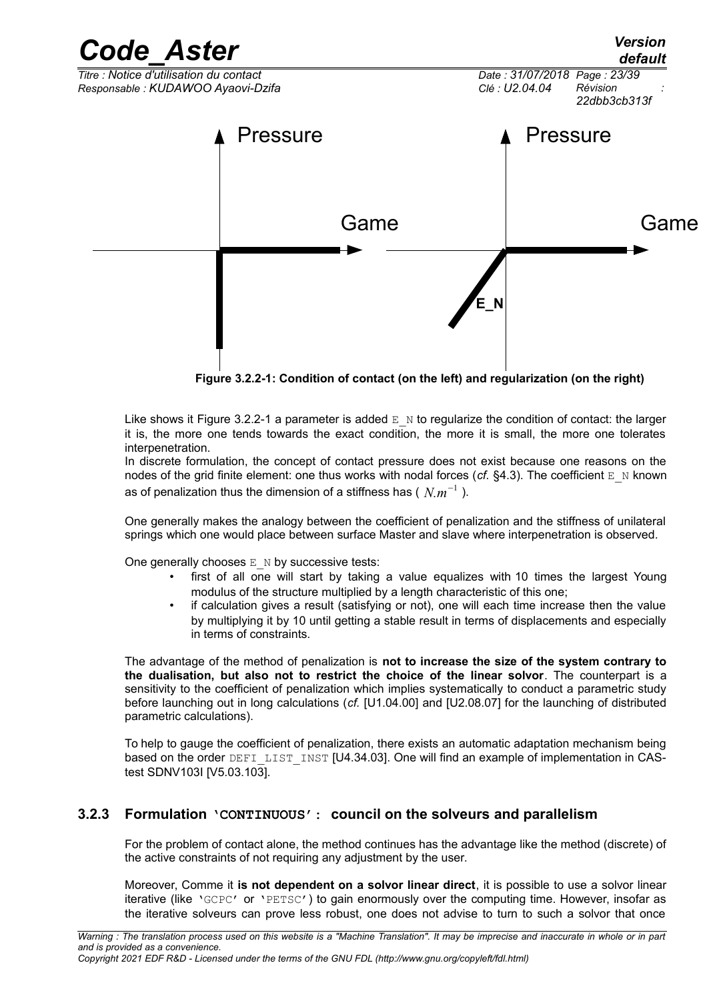

<span id="page-22-1"></span>**Figure 3.2.2-1: Condition of contact (on the left) and regularization (on the right)**

Like shows it [Figure 3.2.2-1](#page-22-1) a parameter is added  $E_N$  to regularize the condition of contact: the larger it is, the more one tends towards the exact condition, the more it is small, the more one tolerates interpenetration.

In discrete formulation, the concept of contact pressure does not exist because one reasons on the nodes of the grid finite element: one thus works with nodal forces ( $cf.$  [§4.3\)](#page-29-2). The coefficient  $E_N$  known as of penalization thus the dimension of a stiffness has (  $N_{\cdot}m^{-1}$  ).

One generally makes the analogy between the coefficient of penalization and the stiffness of unilateral springs which one would place between surface Master and slave where interpenetration is observed.

One generally chooses  $E$  N by successive tests:

- first of all one will start by taking a value equalizes with 10 times the largest Young modulus of the structure multiplied by a length characteristic of this one;
- if calculation gives a result (satisfying or not), one will each time increase then the value by multiplying it by 10 until getting a stable result in terms of displacements and especially in terms of constraints.

The advantage of the method of penalization is **not to increase the size of the system contrary to the dualisation, but also not to restrict the choice of the linear solvor**. The counterpart is a sensitivity to the coefficient of penalization which implies systematically to conduct a parametric study before launching out in long calculations (*cf.* [U1.04.00] and [U2.08.07] for the launching of distributed parametric calculations).

To help to gauge the coefficient of penalization, there exists an automatic adaptation mechanism being based on the order DEFILIST INST [U4.34.03]. One will find an example of implementation in CAStest SDNV103I [V5.03.103].

#### **3.2.3 Formulation 'CONTINUOUS': council on the solveurs and parallelism**

<span id="page-22-0"></span>For the problem of contact alone, the method continues has the advantage like the method (discrete) of the active constraints of not requiring any adjustment by the user.

Moreover, Comme it **is not dependent on a solvor linear direct**, it is possible to use a solvor linear iterative (like 'GCPC' or 'PETSC') to gain enormously over the computing time. However, insofar as the iterative solveurs can prove less robust, one does not advise to turn to such a solvor that once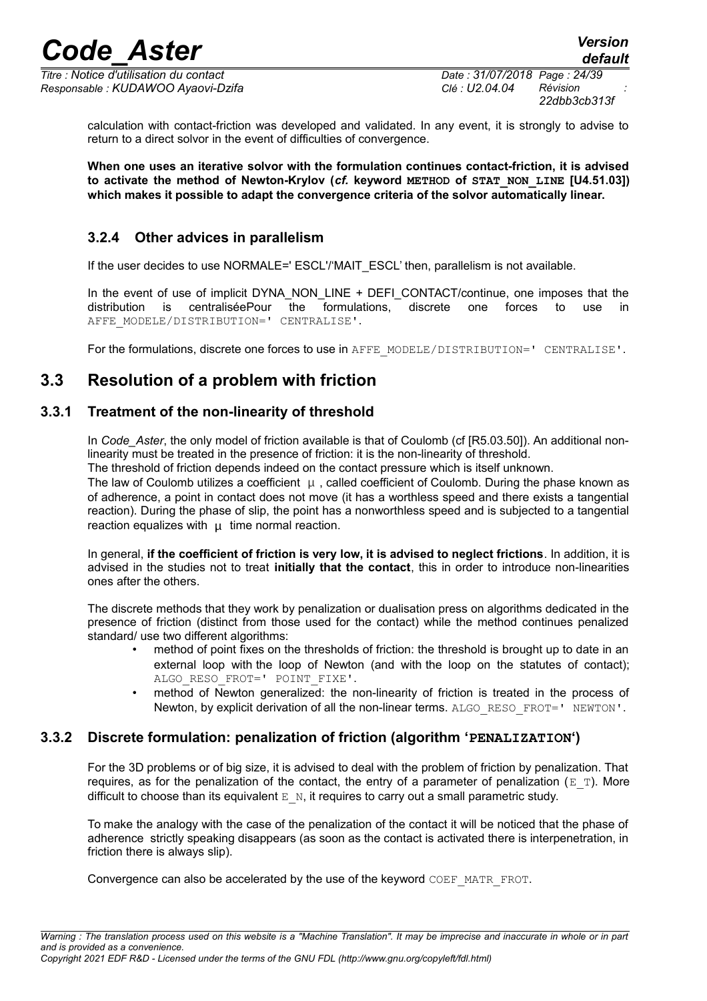*Titre : Notice d'utilisation du contact Date : 31/07/2018 Page : 24/39 Responsable : KUDAWOO Ayaovi-Dzifa Clé : U2.04.04 Révision :*

*22dbb3cb313f*

calculation with contact-friction was developed and validated. In any event, it is strongly to advise to return to a direct solvor in the event of difficulties of convergence.

**When one uses an iterative solvor with the formulation continues contact-friction, it is advised to activate the method of Newton-Krylov (***cf.* **keyword METHOD of STAT\_NON\_LINE [U4.51.03]) which makes it possible to adapt the convergence criteria of the solvor automatically linear.**

### <span id="page-23-3"></span>**3.2.4 Other advices in parallelism**

If the user decides to use NORMALE=' ESCL'/'MAIT\_ESCL' then, parallelism is not available.

In the event of use of implicit DYNA\_NON\_LINE + DEFI\_CONTACT/continue, one imposes that the distribution is centraliséePour the formulations, discrete one forces to use AFFE\_MODELE/DISTRIBUTION=' CENTRALISE'.

<span id="page-23-2"></span>For the formulations, discrete one forces to use in AFFE\_MODELE/DISTRIBUTION=' CENTRALISE'.

### **3.3 Resolution of a problem with friction**

#### **3.3.1 Treatment of the non-linearity of threshold**

<span id="page-23-1"></span>In *Code\_Aster*, the only model of friction available is that of Coulomb (cf [R5.03.50]). An additional nonlinearity must be treated in the presence of friction: it is the non-linearity of threshold.

The threshold of friction depends indeed on the contact pressure which is itself unknown.

The law of Coulomb utilizes a coefficient  $\mu$ , called coefficient of Coulomb. During the phase known as of adherence, a point in contact does not move (it has a worthless speed and there exists a tangential reaction). During the phase of slip, the point has a nonworthless speed and is subjected to a tangential reaction equalizes with  $\mu$  time normal reaction.

In general, **if the coefficient of friction is very low, it is advised to neglect frictions**. In addition, it is advised in the studies not to treat **initially that the contact**, this in order to introduce non-linearities ones after the others.

The discrete methods that they work by penalization or dualisation press on algorithms dedicated in the presence of friction (distinct from those used for the contact) while the method continues penalized standard/ use two different algorithms:

- method of point fixes on the thresholds of friction: the threshold is brought up to date in an external loop with the loop of Newton (and with the loop on the statutes of contact); ALGO\_RESO\_FROT=' POINT\_FIXE'.
- method of Newton generalized: the non-linearity of friction is treated in the process of Newton, by explicit derivation of all the non-linear terms. ALGO\_RESO\_FROT='\_NEWTON'.

#### **3.3.2 Discrete formulation: penalization of friction (algorithm 'PENALIZATION')**

<span id="page-23-0"></span>For the 3D problems or of big size, it is advised to deal with the problem of friction by penalization. That requires, as for the penalization of the contact, the entry of a parameter of penalization ( $E$  T). More difficult to choose than its equivalent  $E_N$ , it requires to carry out a small parametric study.

To make the analogy with the case of the penalization of the contact it will be noticed that the phase of adherence strictly speaking disappears (as soon as the contact is activated there is interpenetration, in friction there is always slip).

Convergence can also be accelerated by the use of the keyword COEF\_MATR\_FROT.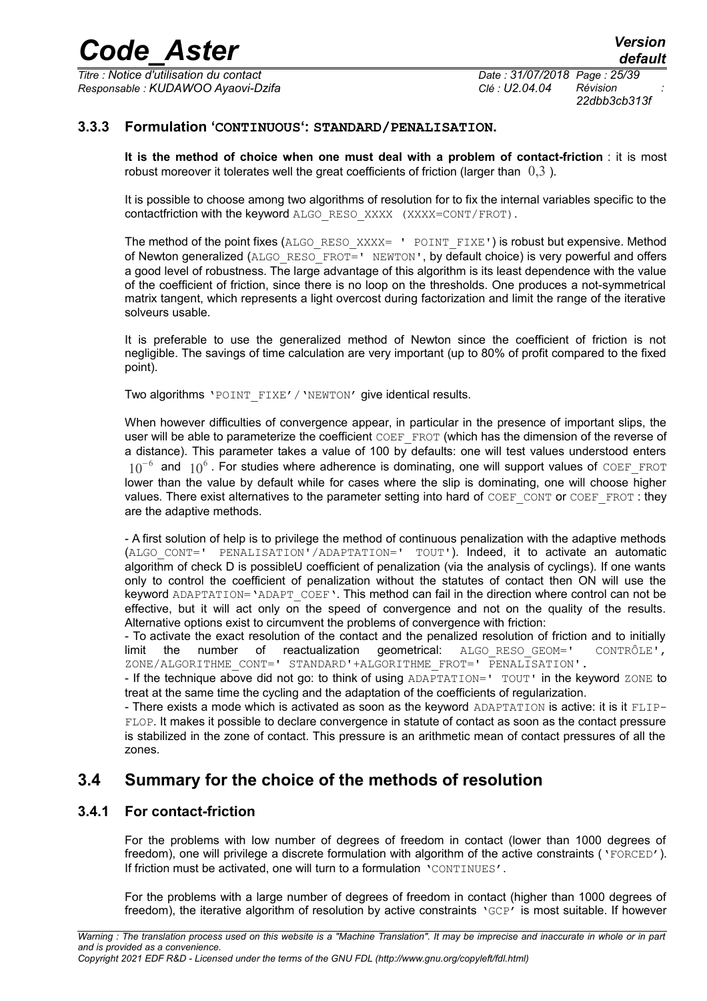*Titre : Notice d'utilisation du contact Date : 31/07/2018 Page : 25/39 Responsable : KUDAWOO Ayaovi-Dzifa Clé : U2.04.04 Révision :*

*22dbb3cb313f*

#### **3.3.3 Formulation 'CONTINUOUS': STANDARD/PENALISATION.**

<span id="page-24-2"></span>**It is the method of choice when one must deal with a problem of contact-friction** : it is most robust moreover it tolerates well the great coefficients of friction (larger than  $(0.3)$ ).

It is possible to choose among two algorithms of resolution for to fix the internal variables specific to the contactfriction with the keyword ALGO\_RESO\_XXXX (XXXX=CONT/FROT).

The method of the point fixes (ALGO\_RESO\_XXXX=  $\cdot$  POINT\_FIXE') is robust but expensive. Method of Newton generalized (ALGO\_RESO\_FROT=' NEWTON', by default choice) is very powerful and offers a good level of robustness. The large advantage of this algorithm is its least dependence with the value of the coefficient of friction, since there is no loop on the thresholds. One produces a not-symmetrical matrix tangent, which represents a light overcost during factorization and limit the range of the iterative solveurs usable.

It is preferable to use the generalized method of Newton since the coefficient of friction is not negligible. The savings of time calculation are very important (up to 80% of profit compared to the fixed point).

Two algorithms 'POINT FIXE' / 'NEWTON' give identical results.

When however difficulties of convergence appear, in particular in the presence of important slips, the user will be able to parameterize the coefficient COEF\_FROT (which has the dimension of the reverse of a distance). This parameter takes a value of 100 by defaults: one will test values understood enters  $10^{-6}$  and  $10^{6}$ . For studies where adherence is dominating, one will support values of COEF\_FROT lower than the value by default while for cases where the slip is dominating, one will choose higher values. There exist alternatives to the parameter setting into hard of  $COEF$  CONT or COEF FROT : they are the adaptive methods.

- A first solution of help is to privilege the method of continuous penalization with the adaptive methods (ALGO\_CONT=' PENALISATION'/ADAPTATION=' TOUT'). Indeed, it to activate an automatic algorithm of check D is possibleU coefficient of penalization (via the analysis of cyclings). If one wants only to control the coefficient of penalization without the statutes of contact then ON will use the keyword ADAPTATION='ADAPT\_COEF'. This method can fail in the direction where control can not be effective, but it will act only on the speed of convergence and not on the quality of the results. Alternative options exist to circumvent the problems of convergence with friction:

- To activate the exact resolution of the contact and the penalized resolution of friction and to initially limit the number of reactualization geometrical: ALGO\_RESO\_GEOM=' CONTRÔLE', ZONE/ALGORITHME\_CONT=' STANDARD'+ALGORITHME\_FROT=' PENALISATION'.

- If the technique above did not go: to think of using ADAPTATION=' TOUT' in the keyword ZONE to treat at the same time the cycling and the adaptation of the coefficients of regularization.

- There exists a mode which is activated as soon as the keyword ADAPTATION is active: it is it FLIP-FLOP. It makes it possible to declare convergence in statute of contact as soon as the contact pressure is stabilized in the zone of contact. This pressure is an arithmetic mean of contact pressures of all the zones.

### <span id="page-24-1"></span>**3.4 Summary for the choice of the methods of resolution**

#### **3.4.1 For contact-friction**

<span id="page-24-0"></span>For the problems with low number of degrees of freedom in contact (lower than 1000 degrees of freedom), one will privilege a discrete formulation with algorithm of the active constraints ('FORCED'). If friction must be activated, one will turn to a formulation 'CONTINUES'.

For the problems with a large number of degrees of freedom in contact (higher than 1000 degrees of freedom), the iterative algorithm of resolution by active constraints 'GCP' is most suitable. If however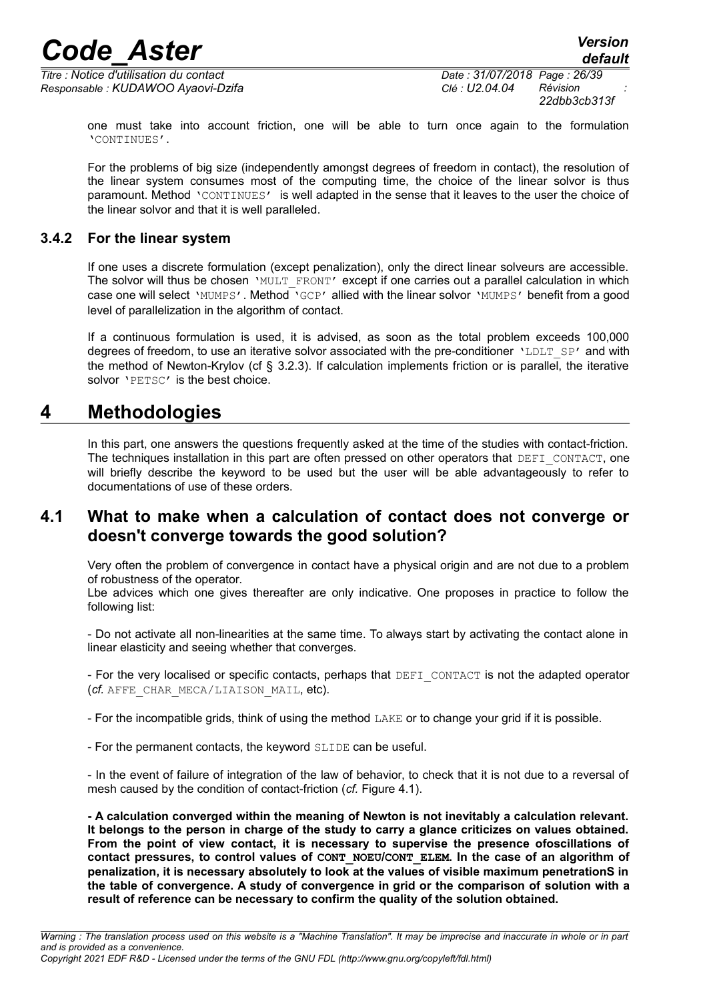*Titre : Notice d'utilisation du contact Date : 31/07/2018 Page : 26/39 Responsable : KUDAWOO Ayaovi-Dzifa Clé : U2.04.04 Révision :*

*22dbb3cb313f*

one must take into account friction, one will be able to turn once again to the formulation 'CONTINUES'.

For the problems of big size (independently amongst degrees of freedom in contact), the resolution of the linear system consumes most of the computing time, the choice of the linear solvor is thus paramount. Method 'CONTINUES' is well adapted in the sense that it leaves to the user the choice of the linear solvor and that it is well paralleled.

#### **3.4.2 For the linear system**

<span id="page-25-2"></span>If one uses a discrete formulation (except penalization), only the direct linear solveurs are accessible. The solvor will thus be chosen 'MULT\_FRONT' except if one carries out a parallel calculation in which case one will select 'MUMPS'. Method 'GCP' allied with the linear solvor 'MUMPS' benefit from a good level of parallelization in the algorithm of contact.

If a continuous formulation is used, it is advised, as soon as the total problem exceeds 100,000 degrees of freedom, to use an iterative solvor associated with the pre-conditioner 'LDLT SP' and with the method of Newton-Krylov (cf § [3.2.3\)](#page-22-0). If calculation implements friction or is parallel, the iterative solvor 'PETSC' is the best choice.

### **4 Methodologies**

<span id="page-25-1"></span>In this part, one answers the questions frequently asked at the time of the studies with contact-friction. The techniques installation in this part are often pressed on other operators that DEFI\_CONTACT, one will briefly describe the keyword to be used but the user will be able advantageously to refer to documentations of use of these orders.

### <span id="page-25-0"></span>**4.1 What to make when a calculation of contact does not converge or doesn't converge towards the good solution?**

Very often the problem of convergence in contact have a physical origin and are not due to a problem of robustness of the operator.

Lbe advices which one gives thereafter are only indicative. One proposes in practice to follow the following list:

- Do not activate all non-linearities at the same time. To always start by activating the contact alone in linear elasticity and seeing whether that converges.

- For the very localised or specific contacts, perhaps that DEFI\_CONTACT is not the adapted operator (*cf.* AFFE\_CHAR\_MECA/LIAISON\_MAIL, etc).

- For the incompatible grids, think of using the method LAKE or to change your grid if it is possible.

- For the permanent contacts, the keyword SLIDE can be useful.

- In the event of failure of integration of the law of behavior, to check that it is not due to a reversal of mesh caused by the condition of contact-friction (*cf.* Figure [4.1\)](#page-27-0).

**- A calculation converged within the meaning of Newton is not inevitably a calculation relevant. It belongs to the person in charge of the study to carry a glance criticizes on values obtained. From the point of view contact, it is necessary to supervise the presence ofoscillations of contact pressures, to control values of CONT\_NOEU/CONT\_ELEM. In the case of an algorithm of penalization, it is necessary absolutely to look at the values of visible maximum penetrationS in the table of convergence. A study of convergence in grid or the comparison of solution with a result of reference can be necessary to confirm the quality of the solution obtained.**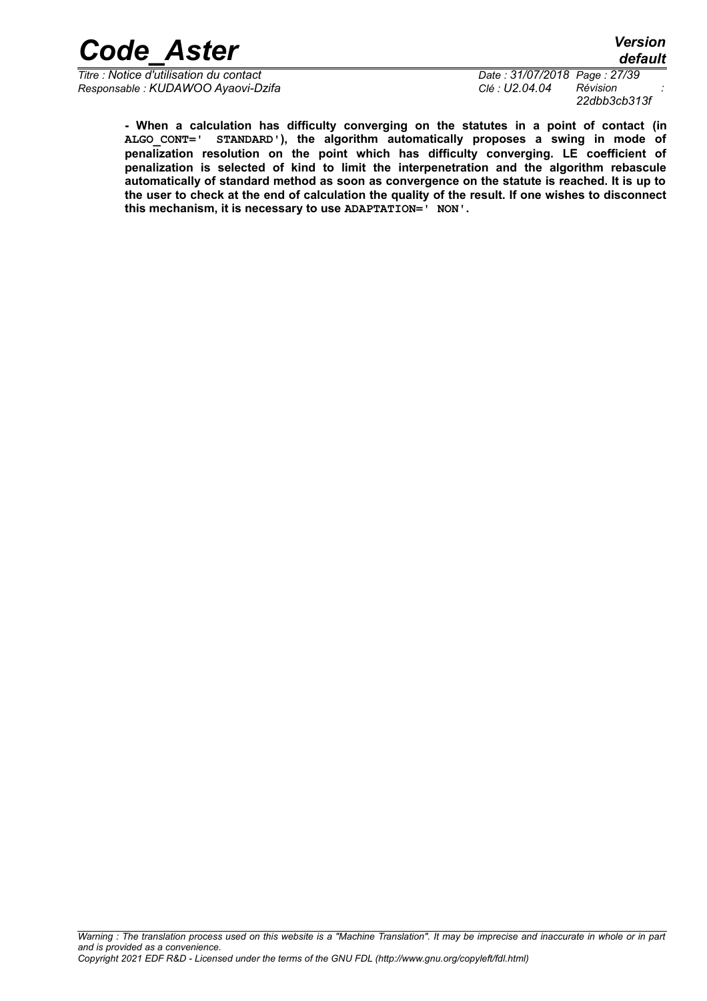*Titre : Notice d'utilisation du contact Date : 31/07/2018 Page : 27/39 Responsable : KUDAWOO Ayaovi-Dzifa Clé : U2.04.04 Révision :*

*22dbb3cb313f*

*default*

**- When a calculation has difficulty converging on the statutes in a point of contact (in ALGO\_CONT=' STANDARD'), the algorithm automatically proposes a swing in mode of penalization resolution on the point which has difficulty converging. LE coefficient of penalization is selected of kind to limit the interpenetration and the algorithm rebascule automatically of standard method as soon as convergence on the statute is reached. It is up to the user to check at the end of calculation the quality of the result. If one wishes to disconnect this mechanism, it is necessary to use ADAPTATION=' NON'.**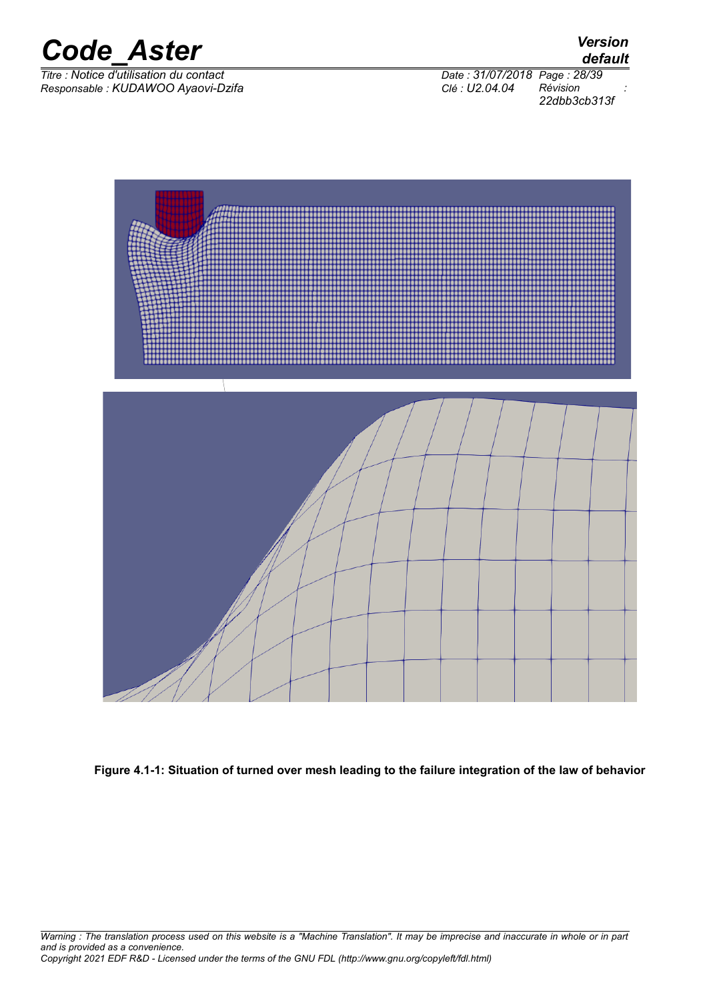

*Titre : Notice d'utilisation du contact Date : 31/07/2018 Page : 28/39 Responsable : KUDAWOO Ayaovi-Dzifa Clé : U2.04.04 Révision :*

*default*

*22dbb3cb313f*



<span id="page-27-0"></span>**Figure 4.1-1: Situation of turned over mesh leading to the failure integration of the law of behavior**

*Warning : The translation process used on this website is a "Machine Translation". It may be imprecise and inaccurate in whole or in part and is provided as a convenience. Copyright 2021 EDF R&D - Licensed under the terms of the GNU FDL (http://www.gnu.org/copyleft/fdl.html)*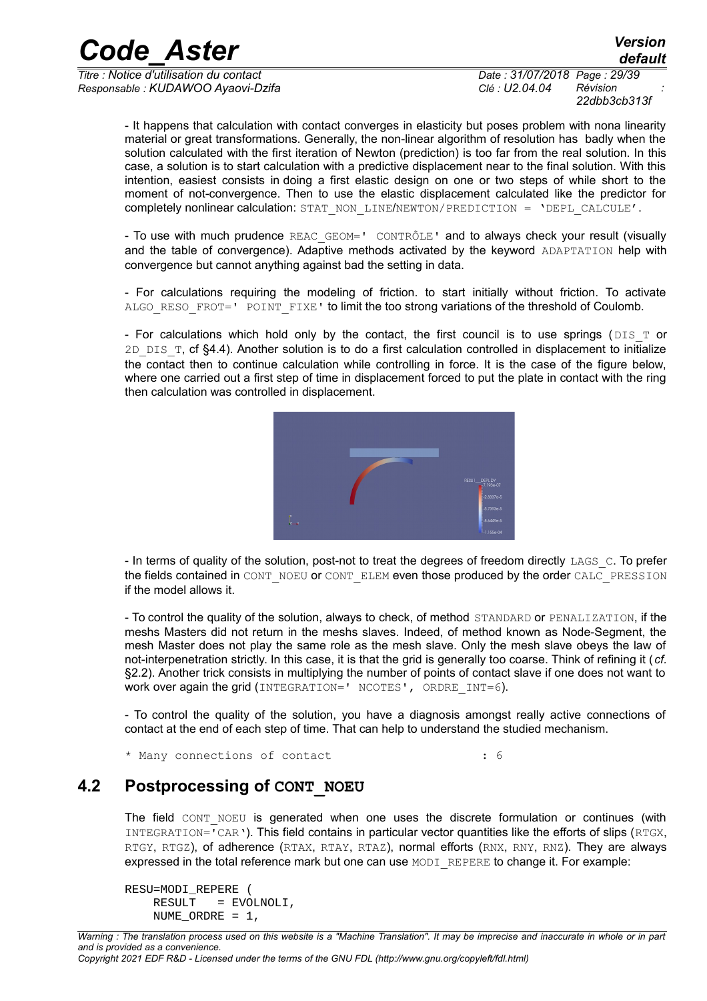*Titre : Notice d'utilisation du contact Date : 31/07/2018 Page : 29/39 Responsable : KUDAWOO Ayaovi-Dzifa Clé : U2.04.04 Révision :*

*22dbb3cb313f*

*default*

- It happens that calculation with contact converges in elasticity but poses problem with nona linearity material or great transformations. Generally, the non-linear algorithm of resolution has badly when the solution calculated with the first iteration of Newton (prediction) is too far from the real solution. In this case, a solution is to start calculation with a predictive displacement near to the final solution. With this intention, easiest consists in doing a first elastic design on one or two steps of while short to the moment of not-convergence. Then to use the elastic displacement calculated like the predictor for completely nonlinear calculation: STAT\_NON\_LINE/NEWTON/PREDICTION = 'DEPL\_CALCULE'.

- To use with much prudence REAC GEOM=' CONTRÔLE' and to always check your result (visually and the table of convergence). Adaptive methods activated by the keyword ADAPTATION help with convergence but cannot anything against bad the setting in data.

- For calculations requiring the modeling of friction. to start initially without friction. To activate ALGO RESO FROT=' POINT FIXE' to limit the too strong variations of the threshold of Coulomb.

- For calculations which hold only by the contact, the first council is to use springs ( $DIST$  or 2D DIS  $T$ , cf [§4.4\)](#page-30-1). Another solution is to do a first calculation controlled in displacement to initialize the contact then to continue calculation while controlling in force. It is the case of the figure below, where one carried out a first step of time in displacement forced to put the plate in contact with the ring then calculation was controlled in displacement.



- In terms of quality of the solution, post-not to treat the degrees of freedom directly LAGS\_C. To prefer the fields contained in CONT\_NOEU or CONT\_ELEM even those produced by the order CALC\_PRESSION if the model allows it.

- To control the quality of the solution, always to check, of method STANDARD or PENALIZATION, if the meshs Masters did not return in the meshs slaves. Indeed, of method known as Node-Segment, the mesh Master does not play the same role as the mesh slave. Only the mesh slave obeys the law of not-interpenetration strictly. In this case, it is that the grid is generally too coarse. Think of refining it (*cf.* [§2.2\)](#page-6-0). Another trick consists in multiplying the number of points of contact slave if one does not want to work over again the grid (INTEGRATION=' NCOTES', ORDRE INT=6).

- To control the quality of the solution, you have a diagnosis amongst really active connections of contact at the end of each step of time. That can help to understand the studied mechanism.

<span id="page-28-0"></span>\* Many connections of contact : 6

### **4.2 Postprocessing of CONT\_NOEU**

The field CONT NOEU is generated when one uses the discrete formulation or continues (with INTEGRATION='CAR'). This field contains in particular vector quantities like the efforts of slips (RTGX, RTGY, RTGZ), of adherence (RTAX, RTAY, RTAZ), normal efforts (RNX, RNY, RNZ). They are always expressed in the total reference mark but one can use MODI REPERE to change it. For example:

```
RESU=MODI_REPERE (
     RESULT = EVOLNOLI,
     NUME_ORDRE = 1,
```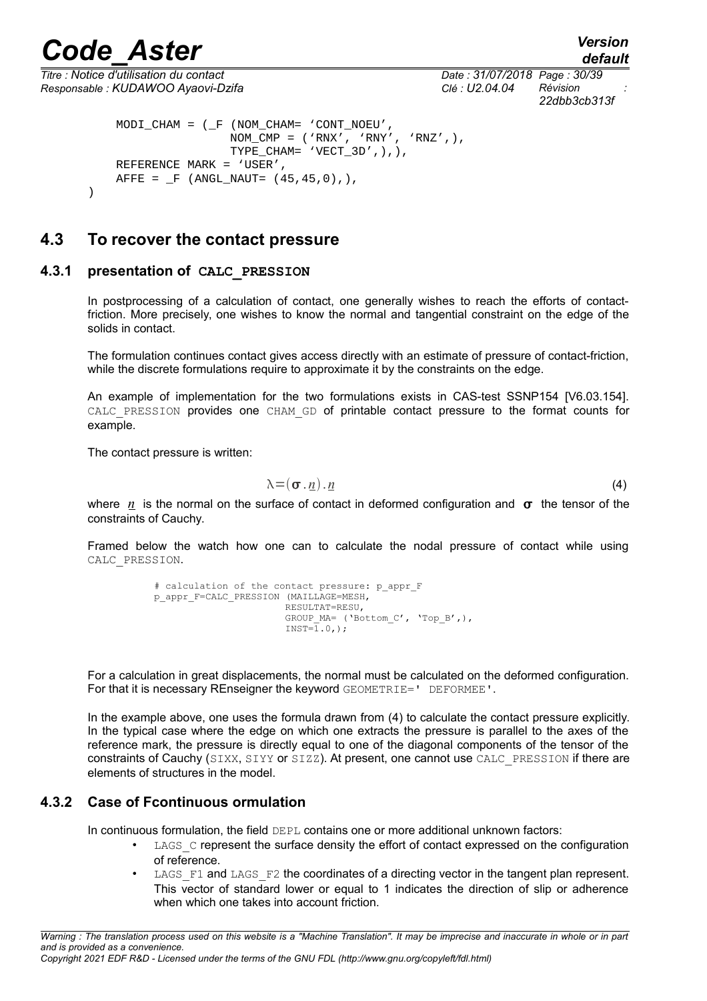<span id="page-29-2"></span>)

*Titre : Notice d'utilisation du contact Date : 31/07/2018 Page : 30/39 Responsable : KUDAWOO Ayaovi-Dzifa Clé : U2.04.04 Révision :*

*default 22dbb3cb313f*

```
 MODI_CHAM = (_F (NOM_CHAM= 'CONT_NOEU',
                 \text{NOM\_CMP} = ('RNX', 'RNY', 'RNZ', ),
                 TYPE_CHAM= 'VECT_3D', ), REFERENCE MARK = 'USER',
AFFE = _F (ANGL_NAUT= (45,45,0),),
```
### **4.3 To recover the contact pressure**

#### **4.3.1 presentation of CALC\_PRESSION**

<span id="page-29-1"></span>In postprocessing of a calculation of contact, one generally wishes to reach the efforts of contactfriction. More precisely, one wishes to know the normal and tangential constraint on the edge of the solids in contact.

The formulation continues contact gives access directly with an estimate of pressure of contact-friction, while the discrete formulations require to approximate it by the constraints on the edge.

An example of implementation for the two formulations exists in CAS-test SSNP154 [V6.03.154]. CALC PRESSION provides one CHAM GD of printable contact pressure to the format counts for example.

The contact pressure is written:

<span id="page-29-3"></span>
$$
\lambda = (\sigma \cdot \underline{n}) \cdot \underline{n} \tag{4}
$$

where *n* is the normal on the surface of contact in deformed configuration and  $\sigma$  the tensor of the constraints of Cauchy.

Framed below the watch how one can to calculate the nodal pressure of contact while using CALC\_PRESSION.

```
# calculation of the contact pressure: p_appr_F
p_appr_F=CALC_PRESSION (MAILLAGE=MESH,
                         RESULTAT=RESU,
                         GROUP MA= ('Bottom C', 'Top B',),
                         INST=\overline{1}.0.);
```
For a calculation in great displacements, the normal must be calculated on the deformed configuration. For that it is necessary REnseigner the keyword GEOMETRIE=' DEFORMEE'.

In the example above, one uses the formula drawn from [\(4\)](#page-29-3) to calculate the contact pressure explicitly. In the typical case where the edge on which one extracts the pressure is parallel to the axes of the reference mark, the pressure is directly equal to one of the diagonal components of the tensor of the constraints of Cauchy (SIXX, SIYY or SIZZ). At present, one cannot use CALC\_PRESSION if there are elements of structures in the model.

#### **4.3.2 Case of Fcontinuous ormulation**

<span id="page-29-0"></span>In continuous formulation, the field DEPL contains one or more additional unknown factors:

- LAGS c represent the surface density the effort of contact expressed on the configuration of reference.
- LAGS F1 and LAGS F2 the coordinates of a directing vector in the tangent plan represent. This vector of standard lower or equal to 1 indicates the direction of slip or adherence when which one takes into account friction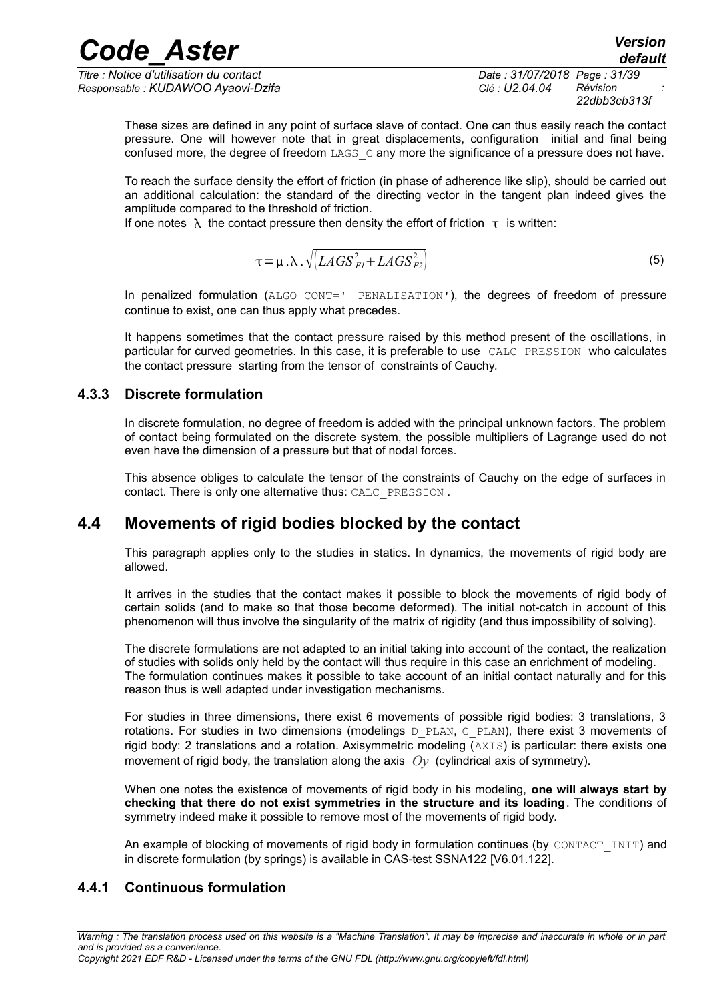*Titre : Notice d'utilisation du contact Date : 31/07/2018 Page : 31/39 Responsable : KUDAWOO Ayaovi-Dzifa Clé : U2.04.04 Révision :*

*22dbb3cb313f*

These sizes are defined in any point of surface slave of contact. One can thus easily reach the contact pressure. One will however note that in great displacements, configuration initial and final being confused more, the degree of freedom  $LAGS$   $\subset$  any more the significance of a pressure does not have.

To reach the surface density the effort of friction (in phase of adherence like slip), should be carried out an additional calculation: the standard of the directing vector in the tangent plan indeed gives the amplitude compared to the threshold of friction.

If one notes  $\lambda$  the contact pressure then density the effort of friction  $\tau$  is written:

$$
\tau = \mu \cdot \lambda \cdot \sqrt{\left[LAGS_{FI}^2 + LAGS_{F2}^2\right]}
$$
 (5)

In penalized formulation (ALGO CONT=' PENALISATION'), the degrees of freedom of pressure continue to exist, one can thus apply what precedes.

It happens sometimes that the contact pressure raised by this method present of the oscillations, in particular for curved geometries. In this case, it is preferable to use CALC\_PRESSION who calculates the contact pressure starting from the tensor of constraints of Cauchy.

#### **4.3.3 Discrete formulation**

<span id="page-30-2"></span>In discrete formulation, no degree of freedom is added with the principal unknown factors. The problem of contact being formulated on the discrete system, the possible multipliers of Lagrange used do not even have the dimension of a pressure but that of nodal forces.

This absence obliges to calculate the tensor of the constraints of Cauchy on the edge of surfaces in contact. There is only one alternative thus: CALC\_PRESSION .

### **4.4 Movements of rigid bodies blocked by the contact**

<span id="page-30-1"></span>This paragraph applies only to the studies in statics. In dynamics, the movements of rigid body are allowed.

It arrives in the studies that the contact makes it possible to block the movements of rigid body of certain solids (and to make so that those become deformed). The initial not-catch in account of this phenomenon will thus involve the singularity of the matrix of rigidity (and thus impossibility of solving).

The discrete formulations are not adapted to an initial taking into account of the contact, the realization of studies with solids only held by the contact will thus require in this case an enrichment of modeling. The formulation continues makes it possible to take account of an initial contact naturally and for this reason thus is well adapted under investigation mechanisms.

For studies in three dimensions, there exist 6 movements of possible rigid bodies: 3 translations, 3 rotations. For studies in two dimensions (modelings  $D$  PLAN, C PLAN), there exist 3 movements of rigid body: 2 translations and a rotation. Axisymmetric modeling (AXIS) is particular: there exists one movement of rigid body, the translation along the axis *Oy* (cylindrical axis of symmetry).

When one notes the existence of movements of rigid body in his modeling, **one will always start by checking that there do not exist symmetries in the structure and its loading**. The conditions of symmetry indeed make it possible to remove most of the movements of rigid body.

<span id="page-30-0"></span>An example of blocking of movements of rigid body in formulation continues (by CONTACT INIT) and in discrete formulation (by springs) is available in CAS-test SSNA122 [V6.01.122].

#### **4.4.1 Continuous formulation**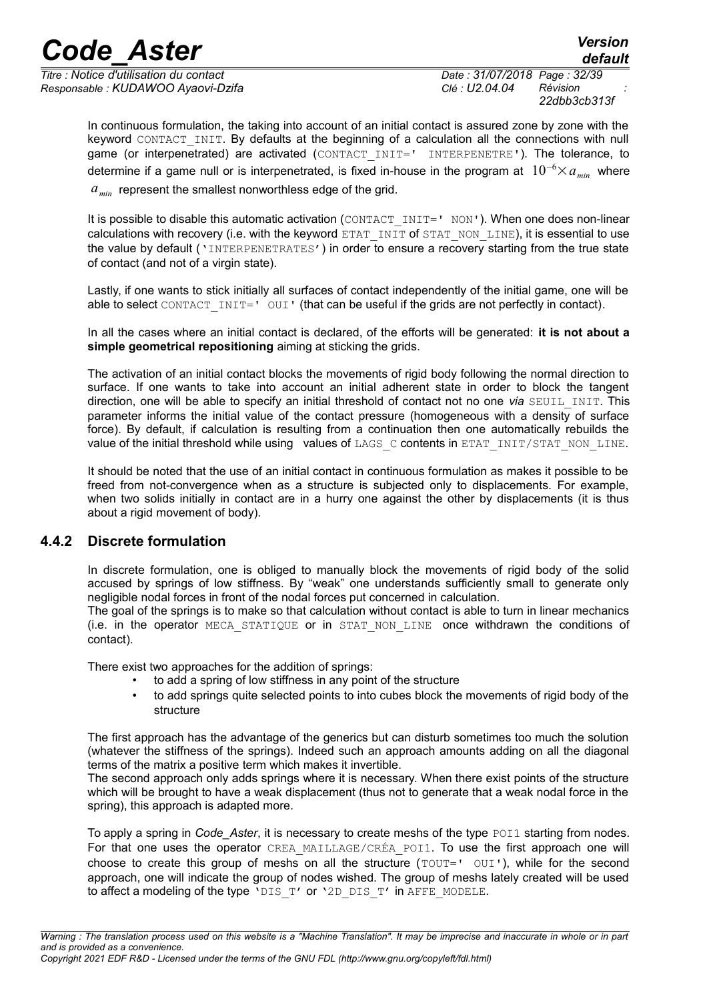*Titre : Notice d'utilisation du contact Date : 31/07/2018 Page : 32/39 Responsable : KUDAWOO Ayaovi-Dzifa Clé : U2.04.04 Révision :*

*22dbb3cb313f*

In continuous formulation, the taking into account of an initial contact is assured zone by zone with the keyword CONTACT INIT. By defaults at the beginning of a calculation all the connections with null game (or interpenetrated) are activated (CONTACT\_INIT=' INTERPENETRE'). The tolerance, to determine if a game null or is interpenetrated, is fixed in-house in the program at 10<sup>−</sup><sup>6</sup>×*amin* where *amin* represent the smallest nonworthless edge of the grid.

It is possible to disable this automatic activation (CONTACT\_INIT=' NON'). When one does non-linear calculations with recovery (i.e. with the keyword ETAT\_INIT of STAT\_NON\_LINE), it is essential to use the value by default ('INTERPENETRATES') in order to ensure a recovery starting from the true state of contact (and not of a virgin state).

Lastly, if one wants to stick initially all surfaces of contact independently of the initial game, one will be able to select CONTACT INIT=' OUI' (that can be useful if the grids are not perfectly in contact).

In all the cases where an initial contact is declared, of the efforts will be generated: **it is not about a simple geometrical repositioning** aiming at sticking the grids.

The activation of an initial contact blocks the movements of rigid body following the normal direction to surface. If one wants to take into account an initial adherent state in order to block the tangent direction, one will be able to specify an initial threshold of contact not no one *via* SEUIL\_INIT. This parameter informs the initial value of the contact pressure (homogeneous with a density of surface force). By default, if calculation is resulting from a continuation then one automatically rebuilds the value of the initial threshold while using values of LAGS  $\,c$  contents in ETAT INIT/STAT NON LINE.

It should be noted that the use of an initial contact in continuous formulation as makes it possible to be freed from not-convergence when as a structure is subjected only to displacements. For example, when two solids initially in contact are in a hurry one against the other by displacements (it is thus about a rigid movement of body).

#### **4.4.2 Discrete formulation**

<span id="page-31-0"></span>In discrete formulation, one is obliged to manually block the movements of rigid body of the solid accused by springs of low stiffness. By "weak" one understands sufficiently small to generate only negligible nodal forces in front of the nodal forces put concerned in calculation.

The goal of the springs is to make so that calculation without contact is able to turn in linear mechanics (i.e. in the operator MECA\_STATIQUE or in STAT\_NON\_LINE once withdrawn the conditions of contact).

There exist two approaches for the addition of springs:

- to add a spring of low stiffness in any point of the structure
- to add springs quite selected points to into cubes block the movements of rigid body of the structure

The first approach has the advantage of the generics but can disturb sometimes too much the solution (whatever the stiffness of the springs). Indeed such an approach amounts adding on all the diagonal terms of the matrix a positive term which makes it invertible.

The second approach only adds springs where it is necessary. When there exist points of the structure which will be brought to have a weak displacement (thus not to generate that a weak nodal force in the spring), this approach is adapted more.

To apply a spring in *Code* Aster, it is necessary to create meshs of the type POI1 starting from nodes. For that one uses the operator CREA MAILLAGE/CRÉA POI1. To use the first approach one will choose to create this group of meshs on all the structure ( $TOUT=' OUI')$ , while for the second approach, one will indicate the group of nodes wished. The group of meshs lately created will be used to affect a modeling of the type 'DIS\_T' or '2D\_DIS\_T' in AFFE\_MODELE.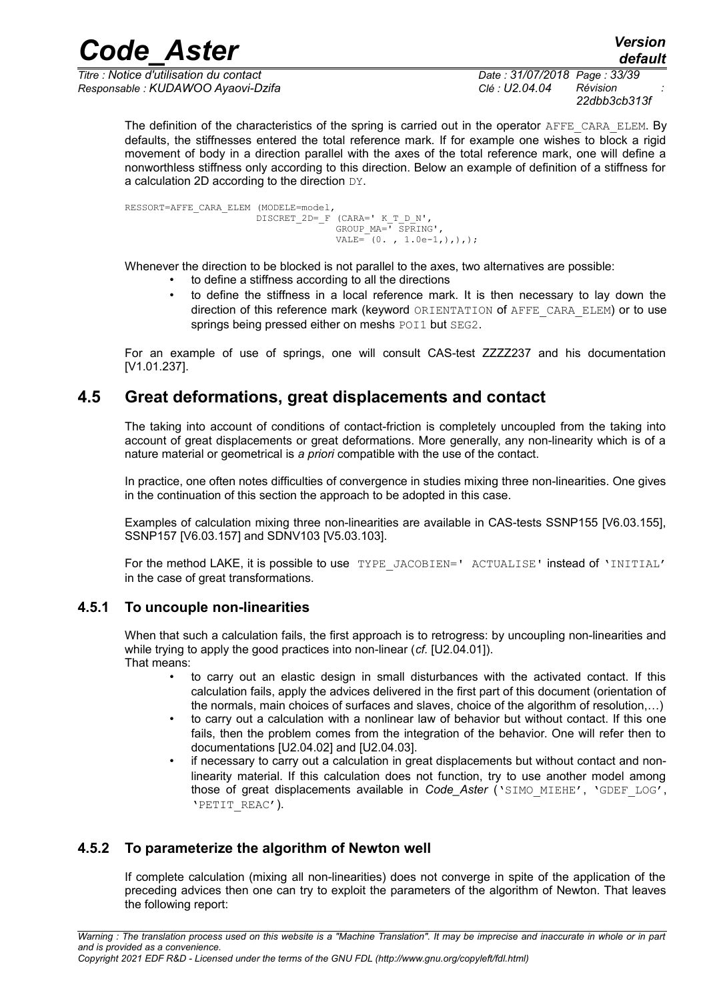*Titre : Notice d'utilisation du contact Date : 31/07/2018 Page : 33/39 Responsable : KUDAWOO Ayaovi-Dzifa Clé : U2.04.04 Révision :*

*22dbb3cb313f*

The definition of the characteristics of the spring is carried out in the operator AFFE\_CARA\_ELEM. By defaults, the stiffnesses entered the total reference mark. If for example one wishes to block a rigid movement of body in a direction parallel with the axes of the total reference mark, one will define a nonworthless stiffness only according to this direction. Below an example of definition of a stiffness for a calculation 2D according to the direction DY.

RESSORT=AFFE\_CARA\_ELEM (MODELE=model, DISCRET  $2D=$   $F$  (CARA=' K T D N', GROUP\_MA=' SPRING', VALE=  $(0, 1.0e-1)$ ,  $),$ 

Whenever the direction to be blocked is not parallel to the axes, two alternatives are possible:

- to define a stiffness according to all the directions
- to define the stiffness in a local reference mark. It is then necessary to lay down the direction of this reference mark (keyword ORIENTATION of AFFE\_CARA\_ELEM) or to use springs being pressed either on meshs POI1 but SEG2.

For an example of use of springs, one will consult CAS-test ZZZZ237 and his documentation [V1.01.237].

### **4.5 Great deformations, great displacements and contact**

<span id="page-32-2"></span>The taking into account of conditions of contact-friction is completely uncoupled from the taking into account of great displacements or great deformations. More generally, any non-linearity which is of a nature material or geometrical is *a priori* compatible with the use of the contact.

In practice, one often notes difficulties of convergence in studies mixing three non-linearities. One gives in the continuation of this section the approach to be adopted in this case.

Examples of calculation mixing three non-linearities are available in CAS-tests SSNP155 [V6.03.155], SSNP157 [V6.03.157] and SDNV103 [V5.03.103].

For the method LAKE, it is possible to use TYPE JACOBIEN=' ACTUALISE' instead of 'INITIAL' in the case of great transformations.

#### **4.5.1 To uncouple non-linearities**

<span id="page-32-1"></span>When that such a calculation fails, the first approach is to retrogress: by uncoupling non-linearities and while trying to apply the good practices into non-linear (*cf.* [U2.04.01]). That means:

- to carry out an elastic design in small disturbances with the activated contact. If this calculation fails, apply the advices delivered in the first part of this document (orientation of the normals, main choices of surfaces and slaves, choice of the algorithm of resolution,…)
- to carry out a calculation with a nonlinear law of behavior but without contact. If this one fails, then the problem comes from the integration of the behavior. One will refer then to documentations [U2.04.02] and [U2.04.03].
- if necessary to carry out a calculation in great displacements but without contact and nonlinearity material. If this calculation does not function, try to use another model among those of great displacements available in *Code\_Aster* ('SIMO\_MIEHE', 'GDEF\_LOG', 'PETIT\_REAC').

### **4.5.2 To parameterize the algorithm of Newton well**

<span id="page-32-0"></span>If complete calculation (mixing all non-linearities) does not converge in spite of the application of the preceding advices then one can try to exploit the parameters of the algorithm of Newton. That leaves the following report: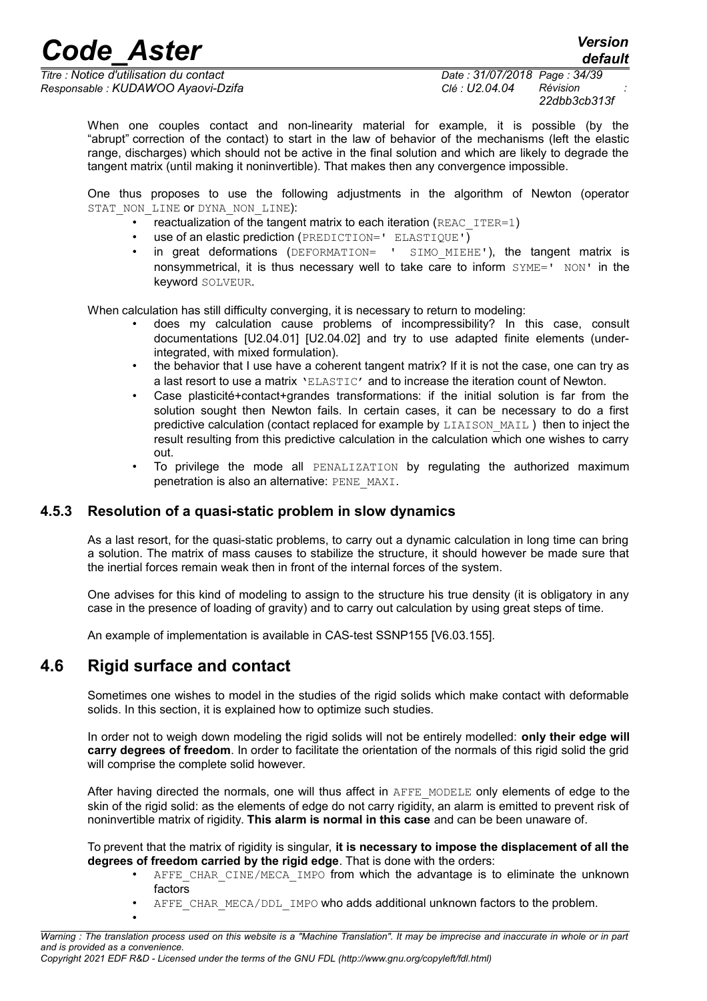*Titre : Notice d'utilisation du contact Date : 31/07/2018 Page : 34/39 Responsable : KUDAWOO Ayaovi-Dzifa Clé : U2.04.04 Révision :*

*22dbb3cb313f*

*default*

When one couples contact and non-linearity material for example, it is possible (by the "abrupt" correction of the contact) to start in the law of behavior of the mechanisms (left the elastic range, discharges) which should not be active in the final solution and which are likely to degrade the tangent matrix (until making it noninvertible). That makes then any convergence impossible.

One thus proposes to use the following adjustments in the algorithm of Newton (operator STAT\_NON\_LINE OF DYNA\_NON\_LINE):

- reactualization of the tangent matrix to each iteration (REAC  $IFER=1$ )
- use of an elastic prediction (PREDICTION=' ELASTIQUE')
- in great deformations (DEFORMATION= ' SIMO MIEHE'), the tangent matrix is nonsymmetrical, it is thus necessary well to take care to inform  $\text{SYME} = ' \text{NON} '$  in the keyword SOLVEUR.

When calculation has still difficulty converging, it is necessary to return to modeling:

- does my calculation cause problems of incompressibility? In this case, consult documentations [U2.04.01] [U2.04.02] and try to use adapted finite elements (underintegrated, with mixed formulation).
- the behavior that I use have a coherent tangent matrix? If it is not the case, one can try as a last resort to use a matrix 'ELASTIC' and to increase the iteration count of Newton.
- Case plasticité+contact+grandes transformations: if the initial solution is far from the solution sought then Newton fails. In certain cases, it can be necessary to do a first predictive calculation (contact replaced for example by LIAISON MAIL) then to inject the result resulting from this predictive calculation in the calculation which one wishes to carry out.
- To privilege the mode all PENALIZATION by regulating the authorized maximum penetration is also an alternative: PENE\_MAXI.

#### **4.5.3 Resolution of a quasi-static problem in slow dynamics**

<span id="page-33-1"></span>As a last resort, for the quasi-static problems, to carry out a dynamic calculation in long time can bring a solution. The matrix of mass causes to stabilize the structure, it should however be made sure that the inertial forces remain weak then in front of the internal forces of the system.

One advises for this kind of modeling to assign to the structure his true density (it is obligatory in any case in the presence of loading of gravity) and to carry out calculation by using great steps of time.

<span id="page-33-0"></span>An example of implementation is available in CAS-test SSNP155 [V6.03.155].

### **4.6 Rigid surface and contact**

•

Sometimes one wishes to model in the studies of the rigid solids which make contact with deformable solids. In this section, it is explained how to optimize such studies.

In order not to weigh down modeling the rigid solids will not be entirely modelled: **only their edge will carry degrees of freedom**. In order to facilitate the orientation of the normals of this rigid solid the grid will comprise the complete solid however.

After having directed the normals, one will thus affect in AFFE\_MODELE only elements of edge to the skin of the rigid solid: as the elements of edge do not carry rigidity, an alarm is emitted to prevent risk of noninvertible matrix of rigidity. **This alarm is normal in this case** and can be been unaware of.

To prevent that the matrix of rigidity is singular, **it is necessary to impose the displacement of all the degrees of freedom carried by the rigid edge**. That is done with the orders:

- AFFE CHAR CINE/MECA IMPO from which the advantage is to eliminate the unknown factors
- AFFE CHAR MECA/DDL IMPO who adds additional unknown factors to the problem.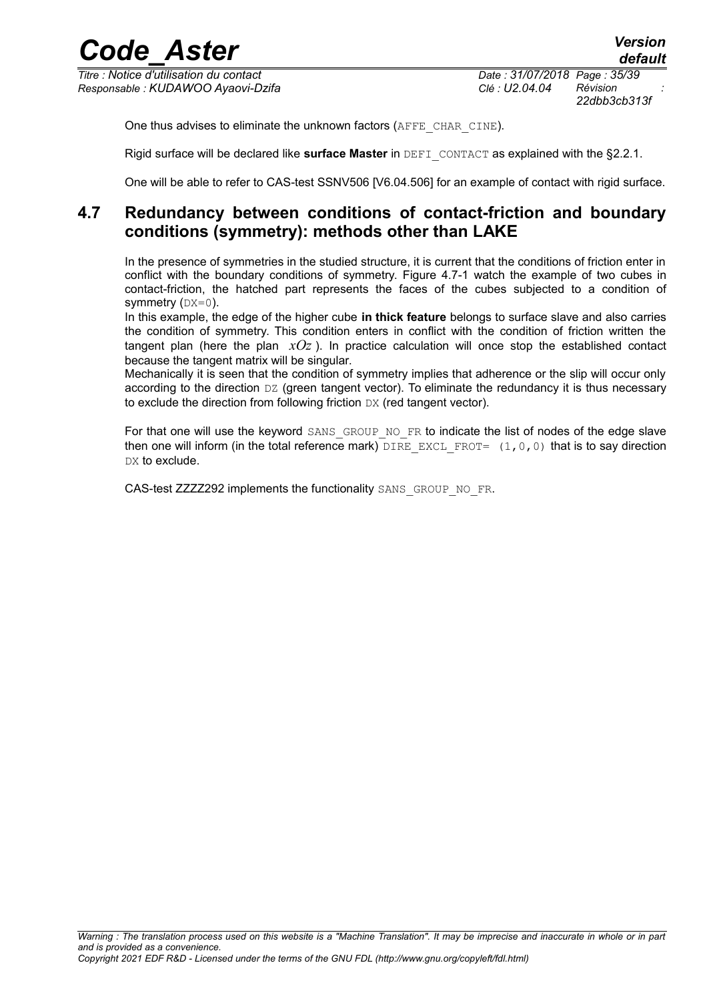*Titre : Notice d'utilisation du contact Date : 31/07/2018 Page : 35/39 Responsable : KUDAWOO Ayaovi-Dzifa Clé : U2.04.04 Révision :*

*22dbb3cb313f*

One thus advises to eliminate the unknown factors (AFFE\_CHAR\_CINE).

Rigid surface will be declared like **surface Master** in DEFI\_CONTACT as explained with the [§2.2.1.](#page-7-2)

<span id="page-34-0"></span>One will be able to refer to CAS-test SSNV506 [V6.04.506] for an example of contact with rigid surface.

### **4.7 Redundancy between conditions of contact-friction and boundary conditions (symmetry): methods other than LAKE**

In the presence of symmetries in the studied structure, it is current that the conditions of friction enter in conflict with the boundary conditions of symmetry. [Figure 4.7-1](#page-35-2) watch the example of two cubes in contact-friction, the hatched part represents the faces of the cubes subjected to a condition of symmetry  $(DX=0)$ .

In this example, the edge of the higher cube **in thick feature** belongs to surface slave and also carries the condition of symmetry. This condition enters in conflict with the condition of friction written the tangent plan (here the plan *xOz* ). In practice calculation will once stop the established contact because the tangent matrix will be singular.

Mechanically it is seen that the condition of symmetry implies that adherence or the slip will occur only according to the direction DZ (green tangent vector). To eliminate the redundancy it is thus necessary to exclude the direction from following friction DX (red tangent vector).

For that one will use the keyword SANS GROUP NO FR to indicate the list of nodes of the edge slave then one will inform (in the total reference mark) DIRE\_EXCL\_FROT=  $(1,0,0)$  that is to say direction DX to exclude.

CAS-test ZZZZ292 implements the functionality SANS\_GROUP\_NO\_FR.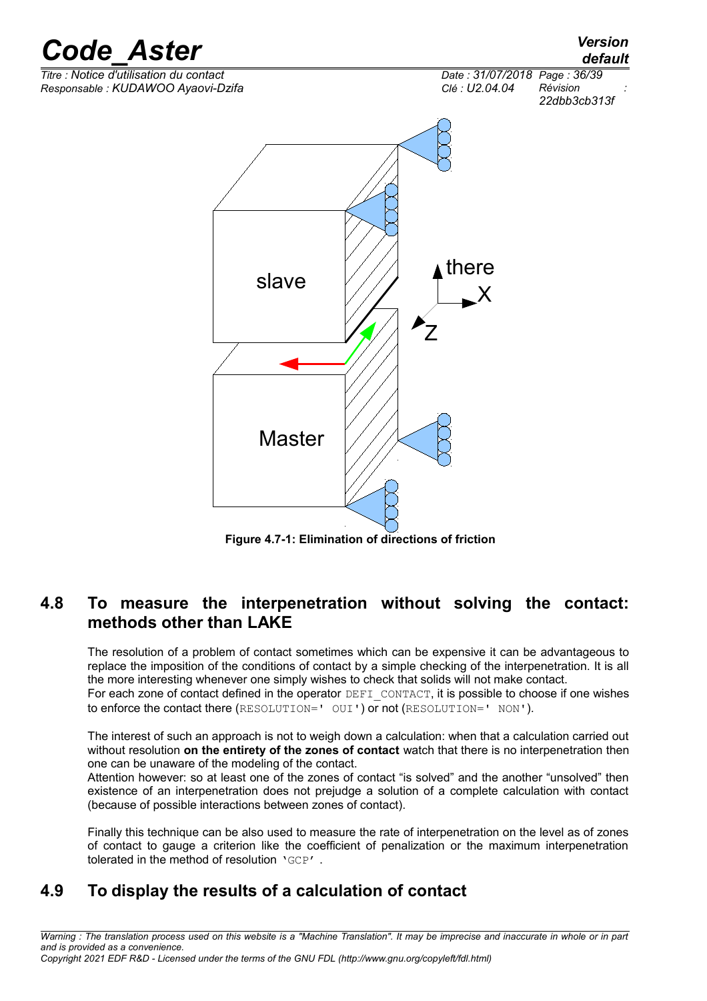

<span id="page-35-2"></span>**Figure 4.7-1: Elimination of directions of friction**

### <span id="page-35-1"></span>**4.8 To measure the interpenetration without solving the contact: methods other than LAKE**

The resolution of a problem of contact sometimes which can be expensive it can be advantageous to replace the imposition of the conditions of contact by a simple checking of the interpenetration. It is all the more interesting whenever one simply wishes to check that solids will not make contact.

For each zone of contact defined in the operator DEFI\_CONTACT, it is possible to choose if one wishes to enforce the contact there (RESOLUTION=' OUI') or not (RESOLUTION=' NON').

The interest of such an approach is not to weigh down a calculation: when that a calculation carried out without resolution **on the entirety of the zones of contact** watch that there is no interpenetration then one can be unaware of the modeling of the contact.

Attention however: so at least one of the zones of contact "is solved" and the another "unsolved" then existence of an interpenetration does not prejudge a solution of a complete calculation with contact (because of possible interactions between zones of contact).

Finally this technique can be also used to measure the rate of interpenetration on the level as of zones of contact to gauge a criterion like the coefficient of penalization or the maximum interpenetration tolerated in the method of resolution 'GCP' .

### <span id="page-35-0"></span>**4.9 To display the results of a calculation of contact**

*Warning : The translation process used on this website is a "Machine Translation". It may be imprecise and inaccurate in whole or in part and is provided as a convenience.*

*Copyright 2021 EDF R&D - Licensed under the terms of the GNU FDL (http://www.gnu.org/copyleft/fdl.html)*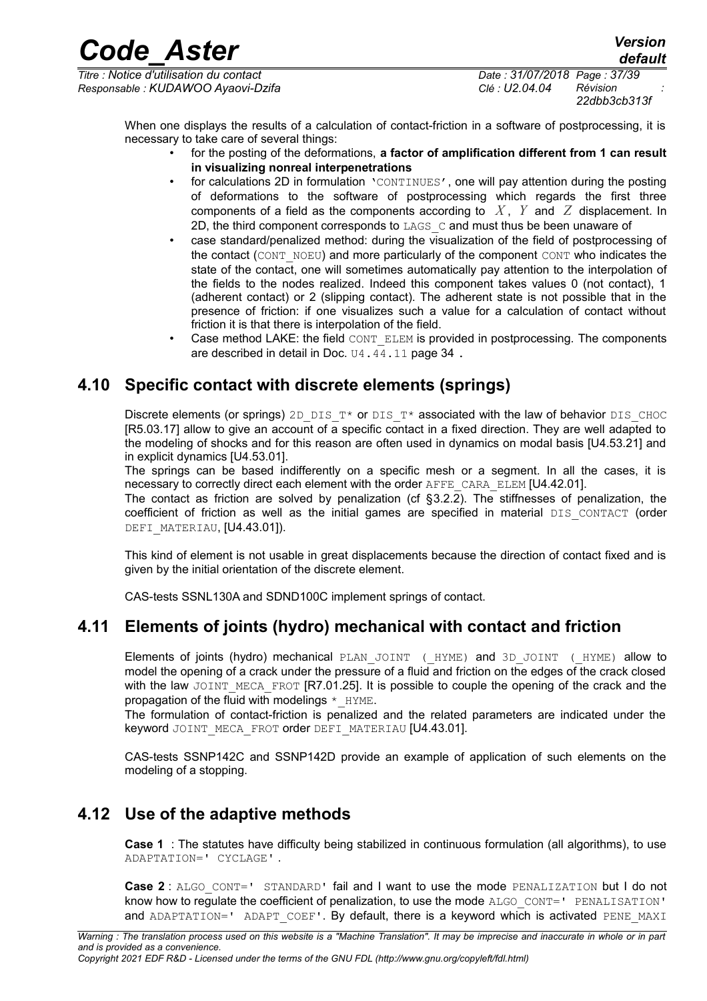*Titre : Notice d'utilisation du contact Date : 31/07/2018 Page : 37/39 Responsable : KUDAWOO Ayaovi-Dzifa Clé : U2.04.04 Révision :*

*22dbb3cb313f*

*default*

When one displays the results of a calculation of contact-friction in a software of postprocessing, it is necessary to take care of several things:

- for the posting of the deformations, **a factor of amplification different from 1 can result in visualizing nonreal interpenetrations**
	- for calculations 2D in formulation 'CONTINUES', one will pay attention during the posting of deformations to the software of postprocessing which regards the first three components of a field as the components according to *X* , *Y* and *Z* displacement. In 2D, the third component corresponds to LAGS C and must thus be been unaware of
- case standard/penalized method: during the visualization of the field of postprocessing of the contact (CONT\_NOEU) and more particularly of the component CONT who indicates the state of the contact, one will sometimes automatically pay attention to the interpolation of the fields to the nodes realized. Indeed this component takes values 0 (not contact), 1 (adherent contact) or 2 (slipping contact). The adherent state is not possible that in the presence of friction: if one visualizes such a value for a calculation of contact without friction it is that there is interpolation of the field.
- Case method LAKE: the field CONT ELEM is provided in postprocessing. The components are described in detail in Doc. U4.44.11 page 34 .

### **4.10 Specific contact with discrete elements (springs)**

<span id="page-36-2"></span>Discrete elements (or springs) 2D\_DIS\_T\* or DIS\_T\* associated with the law of behavior DIS\_CHOC  $IR5.03.17$ ] allow to give an account of a specific contact in a fixed direction. They are well adapted to the modeling of shocks and for this reason are often used in dynamics on modal basis [U4.53.21] and in explicit dynamics [U4.53.01].

The springs can be based indifferently on a specific mesh or a segment. In all the cases, it is necessary to correctly direct each element with the order AFFE\_CARA\_ELEM [U4.42.01].

The contact as friction are solved by penalization (cf  $\S 3.2.2$ ). The stiffnesses of penalization, the coefficient of friction as well as the initial games are specified in material DIS CONTACT (order DEFI\_MATERIAU, [U4.43.01]).

This kind of element is not usable in great displacements because the direction of contact fixed and is given by the initial orientation of the discrete element.

<span id="page-36-1"></span>CAS-tests SSNL130A and SDND100C implement springs of contact.

### **4.11 Elements of joints (hydro) mechanical with contact and friction**

Elements of joints (hydro) mechanical PLAN JOINT ( HYME) and 3D JOINT ( HYME) allow to model the opening of a crack under the pressure of a fluid and friction on the edges of the crack closed with the law JOINT\_MECA\_FROT [R7.01.25]. It is possible to couple the opening of the crack and the propagation of the fluid with modelings  $*$  HYME.

The formulation of contact-friction is penalized and the related parameters are indicated under the keyword JOINT MECA FROT order DEFI MATERIAU [U4.43.01].

CAS-tests SSNP142C and SSNP142D provide an example of application of such elements on the modeling of a stopping.

### **4.12 Use of the adaptive methods**

<span id="page-36-0"></span>**Case 1** : The statutes have difficulty being stabilized in continuous formulation (all algorithms), to use ADAPTATION=' CYCLAGE' .

**Case 2** : ALGO\_CONT=' STANDARD' fail and I want to use the mode PENALIZATION but I do not know how to regulate the coefficient of penalization, to use the mode ALGO CONT=' PENALISATION' and ADAPTATION=' ADAPT COEF'. By default, there is a keyword which is activated PENE MAXI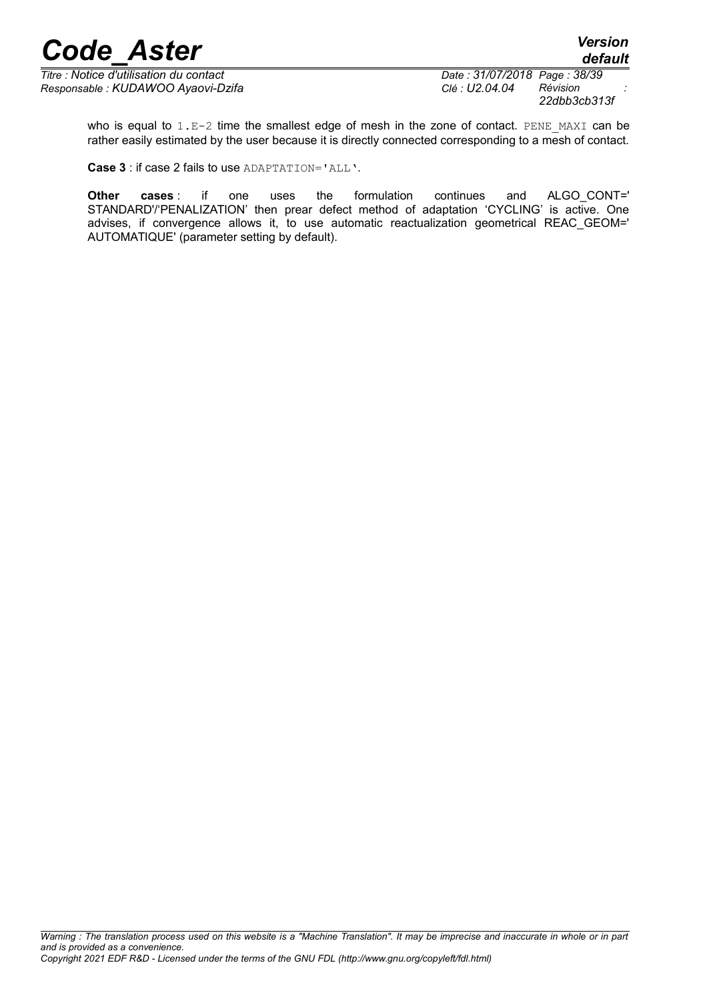*Titre : Notice d'utilisation du contact Date : 31/07/2018 Page : 38/39 Responsable : KUDAWOO Ayaovi-Dzifa Clé : U2.04.04 Révision :*

*22dbb3cb313f*

who is equal to  $1.E-2$  time the smallest edge of mesh in the zone of contact. PENE MAXI can be rather easily estimated by the user because it is directly connected corresponding to a mesh of contact.

**Case 3** : if case 2 fails to use ADAPTATION='ALL'.

**Other cases** : if one uses the formulation continues and ALGO\_CONT=' STANDARD'/'PENALIZATION' then prear defect method of adaptation 'CYCLING' is active. One advises, if convergence allows it, to use automatic reactualization geometrical REAC\_GEOM=' AUTOMATIQUE' (parameter setting by default).